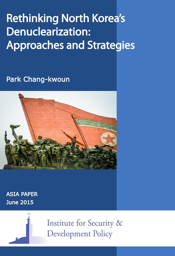# Rethinking North Korea's Denuclearization: Approaches and Strategies

Park Chang-kwoun



ASIA PAPER June 2015



**Institute for Security & Development Policy**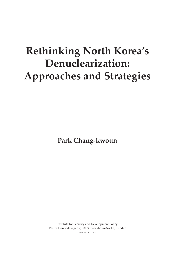# **Rethinking North Korea's Denuclearization: Approaches and Strategies**

**Park Chang-kwoun**

Institute for Security and Development Policy Västra Finnbodavägen 2, 131 30 Stockholm-Nacka, Sweden www.isdp.eu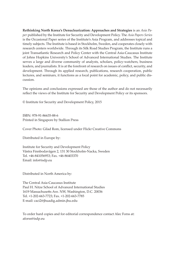**Rethinking North Korea's Denuclearization: Approaches and Strategies** is an *Asia Paper* published by the Institute for Security and Development Policy. The *Asia Papers Series* is the Occasional Paper series of the Institute's Asia Program, and addresses topical and timely subjects. The Institute is based in Stockholm, Sweden, and cooperates closely with research centers worldwide. Through its Silk Road Studies Program, the Institute runs a joint Transatlantic Research and Policy Center with the Central Asia-Caucasus Institute of Johns Hopkins University's School of Advanced International Studies. The Institute serves a large and diverse community of analysts, scholars, policy-watchers, business leaders, and journalists. It is at the forefront of research on issues of conflict, security, and development. Through its applied research, publications, research cooperation, public lectures, and seminars, it functions as a focal point for academic, policy, and public discussion.

The opinions and conclusions expressed are those of the author and do not necessarily reflect the views of the Institute for Security and Development Policy or its sponsors.

© Institute for Security and Development Policy, 2015

ISBN: 978-91-86635-88-6 Printed in Singapore by Stallion Press

Cover Photo: Gilad Rom, licensed under Flickr Creative Commons

Distributed in Europe by:

Institute for Security and Development Policy Västra Finnbodavägen 2, 131 30 Stockholm-Nacka, Sweden Tel. +46-841056953; Fax. +46-86403370 Email: info@isdp.eu

Distributed in North America by:

The Central Asia-Caucasus Institute Paul H. Nitze School of Advanced International Studies 1619 Massachusetts Ave. NW, Washington, D.C. 20036 Tel. +1-202-663-7723; Fax. +1-202-663-7785 E-mail: caci2@jhuadig.admin.jhu.edu

To order hard copies and for editorial correspondence contact Alec Forss at: aforss@isdp.eu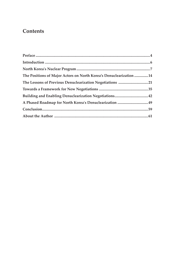# **Contents**

| The Positions of Major Actors on North Korea's Denuclearization 14 |  |
|--------------------------------------------------------------------|--|
| The Lessons of Previous Denuclearization Negotiations 21           |  |
|                                                                    |  |
|                                                                    |  |
| A Phased Roadmap for North Korea's Denuclearization  49            |  |
|                                                                    |  |
|                                                                    |  |
|                                                                    |  |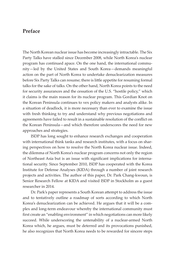## **Preface**

The North Korean nuclear issue has become increasingly intractable. The Six Party Talks have stalled since December 2008, while North Korea's nuclear program has continued apace. On the one hand, the international community—led by the United States and South Korea—demands meaningful action on the part of North Korea to undertake denuclearization measures before Six Party Talks can resume; there is little appetite for resuming formal talks for the sake of talks. On the other hand, North Korea points to the need for security assurances and the cessation of the U.S. "hostile policy," which it claims is the main reason for its nuclear program. This Gordian Knot on the Korean Peninsula continues to vex policy makers and analysts alike. In a situation of deadlock, it is more necessary than ever to examine the issue with fresh thinking to try and understand why previous negotiations and agreements have failed to result in a sustainable resolution of the conflict on the Korean Peninsula—and which therefore underscores the need for new approaches and strategies.

ISDP has long sought to enhance research exchanges and cooperation with international think tanks and research institutes, with a focus on sharing perspectives on how to resolve the North Korea nuclear issue. Indeed, the dilemma of North Korea's nuclear program concerns not only the region of Northeast Asia but is an issue with significant implications for international security. Since September 2010, ISDP has cooperated with the Korea Institute for Defense Analyses (KIDA) through a number of joint research projects and activities. The author of this paper, Dr. Park Chang-kwoun, is Senior Research Fellow at KIDA and visited ISDP in Stockholm as a guest researcher in 2014.

Dr. Park's paper represents a South Korean attempt to address the issue and to tentatively outline a roadmap of sorts according to which North Korea's denuclearization can be achieved. He argues that it will be a complex and long-term endeavour whereby the international community must first create an "enabling environment" in which negotiations can more likely succeed. While underscoring the untenability of a nuclear-armed North Korea which, he argues, must be deterred and its provocations punished, he also recognizes that North Korea needs to be rewarded for sincere steps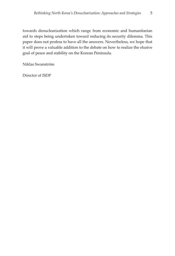towards denuclearization which range from economic and humanitarian aid to steps being undertaken toward reducing its security dilemma. This paper does not profess to have all the answers. Nevertheless, we hope that it will prove a valuable addition to the debate on how to realize the elusive goal of peace and stability on the Korean Peninsula.

Niklas Swanström

Director of ISDP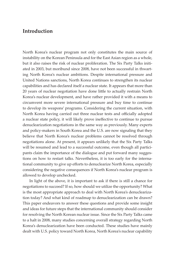## **Introduction**

North Korea's nuclear program not only constitutes the main source of instability on the Korean Peninsula and for the East Asian region as a whole, but it also raises the risk of nuclear proliferation. The Six Party Talks initiated in 2003, but moribund since 2008, have not been successful in thwarting North Korea's nuclear ambitions. Despite international pressure and United Nations sanctions, North Korea continues to strengthen its nuclear capabilities and has declared itself a nuclear state. It appears that more than 20 years of nuclear negotiation have done little to actually restrain North Korea's nuclear development, and have rather provided it with a means to circumvent more severe international pressure and buy time to continue to develop its weapons' programs. Considering the current situation, with North Korea having carried out three nuclear tests and officially adopted a nuclear state policy, it will likely prove ineffective to continue to pursue denuclearization negotiations in the same way as previously. Many experts and policy-makers in South Korea and the U.S. are now signaling that they believe that North Korea's nuclear problems cannot be resolved through negotiations alone. At present, it appears unlikely that the Six Party Talks will be resumed and lead to a successful outcome, even though all participants claim the importance of the dialogue and put forward many suggestions on how to restart talks. Nevertheless, it is too early for the international community to give up efforts to denuclearize North Korea, especially considering the negative consequences if North Korea's nuclear program is allowed to develop unchecked.

In light of the above, it is important to ask if there is still a chance for negotiations to succeed? If so, how should we utilize the opportunity? What is the most appropriate approach to deal with North Korea's denuclearization today? And what kind of roadmap to denuclearization can be drawn? This paper endeavors to answer these questions and provide some insight and ideas for future steps that the international community should consider for resolving the North Korean nuclear issue. Since the Six Party Talks came to a halt in 2008, many studies concerning overall strategy regarding North Korea's denuclearization have been conducted. These studies have mainly dealt with U.S. policy toward North Korea, North Korea's nuclear capability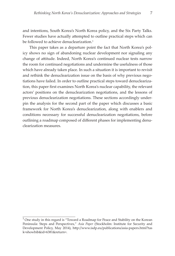and intentions, South Korea's North Korea policy, and the Six Party Talks. Fewer studies have actually attempted to outline practical steps which can be followed to achieve denuclearization. $<sup>1</sup>$ </sup>

This paper takes as a departure point the fact that North Korea's policy shows no sign of abandoning nuclear development nor signaling any change of attitude. Indeed, North Korea's continued nuclear tests narrow the room for continued negotiations and undermine the usefulness of those which have already taken place. In such a situation it is important to revisit and rethink the denuclearization issue on the basis of why previous negotiations have failed. In order to outline practical steps toward denuclearization, this paper first examines North Korea's nuclear capability, the relevant actors' positions on the denuclearization negotiations, and the lessons of previous denuclearization negotiations. These sections accordingly underpin the analysis for the second part of the paper which discusses a basic framework for North Korea's denuclearization, along with enablers and conditions necessary for successful denuclearization negotiations, before outlining a roadmap composed of different phases for implementing denuclearization measures.

<sup>&</sup>lt;sup>1</sup> One study in this regard is "Toward a Roadmap for Peace and Stability on the Korean Peninsula: Steps and Perspectives," *Asia Paper* (Stockholm: Institute for Security and Development Policy, May 2014), http://www.isdp.eu/publications/asia-papers.html?tas k=showbib&id=6381&return=.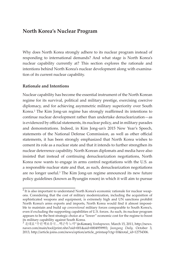# **North Korea's Nuclear Program**

Why does North Korea strongly adhere to its nuclear program instead of responding to international demands? And what stage is North Korea's nuclear capability currently at? This section explores the rationale and intentions behind North Korea's nuclear development along with examination of its current nuclear capability.

#### **Rationale and Intentions**

Nuclear capability has become the essential instrument of the North Korean regime for its survival, political and military prestige, exercising coercive diplomacy, and for achieving asymmetric military superiority over South Korea.<sup>2</sup> The Kim Jong-un regime has strongly reaffirmed its intentions to continue nuclear development rather than undertake denuclearization—as is evidenced by official statements, its nuclear policy, and in military parades and demonstrations. Indeed, in Kim Jong-un's 2015 New Year's Speech, statements of the National Defense Commission, as well as other official statements, it has been strongly emphasized that North Korea wishes to cement its role as a nuclear state and that it intends to further strengthen its nuclear deterrence capability. North Korean diplomats and media have also insisted that instead of continuing denuclearization negotiations, North Korea now wants to engage in arms control negotiations with the U.S. as a responsible nuclear state and that, as such, denuclearization negotiations are no longer useful.<sup>3</sup> The Kim Jong-un regime announced its new future policy guidelines (known as Byungjin roson) in which it will aim to pursue

 $2$  It is also important to understand North Korea's economic rationale for nuclear weapons. Considering that the cost of military modernization, including the acquisition of sophisticated weapons and equipment, is extremely high and UN sanctions prohibit North Korea's arms exports and imports, North Korea would find it almost impossible to maintain and build up *conventional* military forces comparable to South Korea's, even if excluding the supporting capabilities of U.S. forces. As such, its nuclear program appears to be the best strategic choice at a "lower" economic cost for the regime to boost its military capability against South Korea.

<sup>3</sup> 北대표 "우린핵보유국…핵군축노력" (in Korean), *Yonhapnews,* March 15, 2011, http://news. naver.com/main/tool/print.nhn?oid=001&aid=0004959993; *Joongang Daily,* October 3, 2013, http://article.joins.com/news/option/article\_printasp?ctg=10&total\_id=12754306.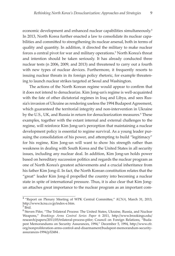economic development and enhanced nuclear capabilities simultaneously.4 In 2013, North Korea further enacted a law to consolidate its nuclear capabilities and committed to strengthening its nuclear arsenal, both in terms of quality and quantity. In addition, it directed the military to make nuclear forces a central pivot for war and military operations.<sup>5</sup> North Korea's threat and intention should be taken seriously. It has already conducted three nuclear tests (n 2006, 2009, and 2013) and threatened to carry out a fourth with new types of nuclear devices. Furthermore, it frequently resorts to issuing nuclear threats in its foreign policy rhetoric, for example threatening to launch nuclear strikes targeted at Seoul and Washington.

The actions of the North Korean regime would appear to confirm that it does not intend to denuclearize. Kim Jong-un's regime is well-acquainted with the fate of other dictatorial regimes in Iraq and Libya, and sees Russia's invasion of Ukraine as rendering useless the 1994 Budapest Agreement, which guaranteed the territorial integrity and non-intervention in Ukraine by the U.S., UK, and Russia in return for denuclearization measures.<sup>6</sup> These examples, together with the extant internal and external challenges to the regime, will reinforce Kim Jong-un's perception that maintaining a nuclear development policy is essential to regime survival. As a young leader pursuing the consolidation of his power, and attempting to build "legitimacy" for his regime, Kim Jong-un will want to show his strength rather than weakness in dealing with South Korea and the United States in all security issues, including any nuclear deal. In addition, Kim Jong-un holds power based on hereditary succession politics and regards the nuclear program as one of North Korea's greatest achievements and a crucial inheritance from his father Kim Jong-il. In fact, the North Korean constitution relates that the "great" leader Kim Jong-il propelled the country into becoming a nuclear state in spite of international pressure. Thus, it is also clear that Kim Jongun attaches great importance to the nuclear program as an important com-

<sup>4</sup>"Report on Plenary Meeting of WPK Central Committee," *KCNA*, March 31, 2013, http://www.kcna.co.jp/index-e.htm.

 $5$  Ibid.

<sup>&</sup>lt;sup>6</sup> Steven Pifer, "The Trilateral Process: The United States, Ukraine, Russia, and Nuclear Weapons," *Brookings Arms Control Series Paper* 6 2011, http://www.brookings.edu/ research/papers/2011/05/trilateral-process-pifer; Council on Foreign Relations, "Budapest Memorandums on Security Assurances, 1994," December 5, 1994, http://www.cfr. org/nonproliferation-arms-control-and-disarmament/budapest-memorandum-securityassurances-1994/p32484 .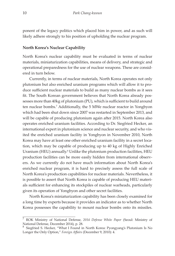ponent of the legacy politics which placed him in power, and as such will likely adhere strongly to his position of upholding the nuclear program.

#### **North Korea's Nuclear Capability**

North Korea's nuclear capability must be evaluated in terms of nuclear materials, miniaturization capabilities, means of delivery, and strategic and operational preparedness for the use of nuclear weapons. These are considered in turn below.

Currently, in terms of nuclear materials, North Korea operates not only plutonium but also enriched uranium programs which will allow it to produce sufficient nuclear materials to build as many nuclear bombs as it sees fit. The South Korean government believes that North Korea already possesses more than 40kg of plutonium (PU), which is sufficient to build around ten nuclear bombs.<sup>7</sup> Additionally, the 5 MWe nuclear reactor in Yongbyon which had been shut down since 2007 was restarted in September 2013, and will be capable of producing plutonium again after 2015. North Korea also operates enriched uranium facilities. According to Dr. Siegfried Hecker, an international expert in plutonium science and nuclear security, and who visited the enriched uranium facility in Yongbyon in November 2010, North Korea may have at least one other enriched uranium facility in a secret location, which may be capable of producing up to 40 kg of Highly Enriched Uranium (HEU) annually.<sup>8</sup> Unlike the plutonium production facilities, HEU production facilities can be more easily hidden from international observers. As we currently do not have much information about North Korea's enriched nuclear program, it is hard to precisely assess the full scale of North Korea's production capabilities for nuclear materials. Nevertheless, it is possible to assert that North Korea is capable of producing HEU materials sufficient for enhancing its stockpiles of nuclear warheads, particularly given its operation of Yongbyon and other secret facilities.

North Korea's miniaturization capability has been closely examined for a long time by experts because it provides an indicator as to whether North Korea possesses the capability to mount nuclear bombs onto its missiles.

<sup>7</sup> ROK Ministry of National Defense, *2014 Defense White Paper* (Seoul: Ministry of National Defense, December 2014), p. 28.

<sup>8</sup> Siegfried S. Hecker, "What I Found in North Korea: Pyongyang's Plutonium Is No Longer the Only Option," *Foreign Affairs* (December 9, 2010): 4.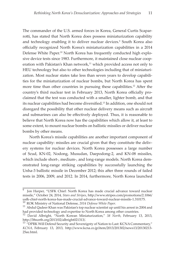The commander of the U.S. armed forces in Korea, General Curtis Scaparrotti, has stated that North Korea does possess miniaturization capability and technology enabling it to deliver nuclear devices.<sup>9</sup> South Korea also officially recognized North Korea's miniaturization capabilities in a 2014 Defense White Paper.<sup>10</sup> North Korea has frequently conducted high explosive device tests since 1983. Furthermore, it maintained close nuclear cooperation with Pakistan's Khan network, $11$  which provided access not only to HEU technology but also to other technologies including that of miniaturization. Most nuclear states take less than seven years to develop capabilities for the miniaturization of nuclear bombs, but North Korea has spent more time than other countries in pursuing these capabilities.<sup>12</sup> After the country's third nuclear test in February 2013, North Korea officially proclaimed that the test was conducted with a smaller, lighter bomb, and that its nuclear capabilities had become diversified.<sup>13</sup> In addition, one should not disregard the possibility that other nuclear delivery means such as aircraft and submarines can also be effectively deployed. Thus, it is reasonable to believe that North Korea now has the capabilities which allow it, at least to some extent, to mount nuclear bombs on ballistic missiles or deliver nuclear bombs by other means.

North Korea's missile capabilities are another important component of nuclear capability: missiles are crucial given that they constitute the delivery systems for nuclear devices. North Korea possesses a large number of Scud, KN-02, Nodong, Musudan, Daepodong-2, and KN-08 missiles, which include short-, medium-, and long-range models. North Korea demonstrated long-range striking capabilities by successfully launching the Unha-3 ballistic missile in December 2012; this after three rounds of failed tests in 2006, 2009, and 2012. In 2014, furthermore, North Korea launched

Jon Harper, "USFK Chief: North Korea has made crucial advance toward nuclear missile," October 24, 2014, *Stars and Stripes*, http://www.stripes.com/promotions/2.1066/ usfk-chief-north-korea-has-made-crucial-advance-toward-nuclear-missile-1.310175.  $^{10}$  ROK Ministry of National Defense, 2014 Defense White Paper.

<sup>&</sup>lt;sup>11</sup> Abdul Qadeer Khan was Pakistan's top nuclear scientist up until his arrest in 2004 and had provided technology and expertise to North Korea among other countries.

<sup>12</sup> David Albright, "North Korean Miniaturization," *38 North*, February 13, 2013, http://38north.org/2013/02/albright021313/.

<sup>&</sup>lt;sup>13</sup> "DPRK Will Defend Security and Sovereignty of Nation to Last: KCNA Commentary," *KCNA,* February 13, 2013, http://www.kcna.co.jp/item/2013/201302/news13/20130213- 25ee.html.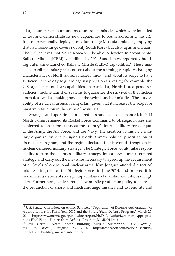a large number of short- and medium-range missiles which were intended to test and demonstrate its new capabilities to South Korea and the U.S. It also operationally deployed medium-range Musudan missiles, implying that its missile-range covers not only South Korea but also Japan and Guam. The U.S. believes that North Korea will be able to develop Intercontinental Ballistic Missile (ICBM) capabilities by 2024<sup>14</sup> and is now reportedly building Submarine-launched Ballistic Missile (SLBM) capabilities.15 These missile capabilities raise great concern about the seemingly rapidly changing characteristics of North Korea's nuclear threat, and about its scope to have sufficient technology to guard against precision strikes by, for example, the U.S. against its nuclear capabilities. In particular, North Korea possesses sufficient mobile launcher systems to guarantee the survival of the nuclear arsenal, as well as making possible the swift launch of missiles. The survivability of a nuclear arsenal is important given that it increases the scope for massive retaliation in the event of hostilities.

Strategic and operational preparedness has also been enhanced. In 2014 North Korea renamed its Rocket Force Command to Strategic Forces and conferred upon it the status as the country's fourth military force, equal to the Army, the Air Force, and the Navy. The creation of this new military organization clearly signals North Korea's political prioritization of its nuclear program, and the regime declared that it would strengthen its nuclear-centered military strategy. The Strategic Force would take responsibility to turn the county's military strategy into a new nuclear-centered strategy and carry out the measures necessary to speed up the acquirement of all levels of operational nuclear arms. Kim Jong-un attended a tactical missile firing drill of the Strategic Forces in June 2014, and ordered it to maximize its deterrent strategic capabilities and maintain conditions of high alert. Furthermore, he declared a new missile production policy to increase the production of short- and medium-range missiles and to renovate and

 $14$  U.S. Senate, Committee on Armed Services, "Department of Defense Authorization of Appropriations for Fiscal Year 2015 and the Future Years Defense Program," March 25, 2014, http://www.mcrmc.gov/public/docs/report/hb/DoD-Authorization-of-Appropriations-FY2015-and-Future-Years-Defense-Program\_MAR2014.pdf.

<sup>15</sup> Bill Gertz, "North Korea Building Missile Submarine," *The Washington Free Beacon*, August 26, 2014, http://freebeacon.com/national-security/ north-korea-building-missile-submarine/.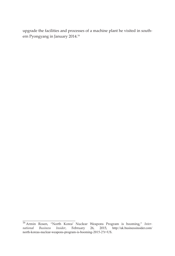upgrade the facilities and processes of a machine plant he visited in southern Pyongyang in January 2014.16

<sup>16</sup> Armin Rosen, "North Korea' Nuclear Weapons Program is booming," *International Business Insider*, February 26, 2015, http://uk.businessinsider.com/ north-koreas-nuclear-weapons-program-is-booming-2015-2?r=US.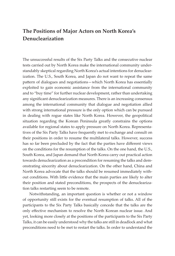# **The Positions of Major Actors on North Korea's Denuclearization**

The unsuccessful results of the Six Party Talks and the consecutive nuclear tests carried out by North Korea make the international community understandably skeptical regarding North Korea's actual intentions for denuclearization. The U.S., South Korea, and Japan do not want to repeat the same pattern of dialogues and negotiations—which North Korea has essentially exploited to gain economic assistance from the international community and to "buy time" for further nuclear development, rather than undertaking any significant denuclearization measures. There is an increasing consensus among the international community that dialogue and negotiation allied with strong international pressure is the only option which can be pursued in dealing with rogue states like North Korea. However, the geopolitical situation regarding the Korean Peninsula greatly constrains the options available for regional states to apply pressure on North Korea. Representatives of the Six Party Talks have frequently met to exchange and consult on their positions in order to resume the multilateral talks. However, success has so far been precluded by the fact that the parties have different views on the conditions for the resumption of the talks. On the one hand, the U.S., South Korea, and Japan demand that North Korea carry out practical action towards denuclearization as a precondition for resuming the talks and demonstrating sincerity about denuclearization. On the other hand, China and North Korea advocate that the talks should be resumed immediately without conditions. With little evidence that the main parties are likely to alter their position and stated preconditions, the prospects of the denuclearization talks restarting seem to be remote.

Notwithstanding, an important question is whether or not a window of opportunity still exists for the eventual resumption of talks. All of the participants to the Six Party Talks basically concede that the talks are the only effective mechanism to resolve the North Korean nuclear issue. And yet, looking more closely at the positions of the participants to the Six Party Talks, it can be easily understood why the talks are still in deadlock and what preconditions need to be met to restart the talks. In order to understand the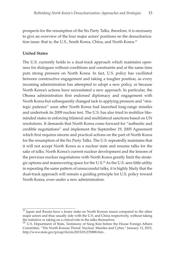prospects for the resumption of the Six Party Talks, therefore, it is necessary to give an overview of the four major actors' positions on the denuclearization issue: that is, the U.S., South Korea, China, and North Korea.<sup>17</sup>

#### **United States**

The U.S. currently holds to a dual-track approach which maintains openness for dialogues without conditions and constraints and at the same time puts strong pressure on North Korea. In fact, U.S. policy has vacillated between constructive engagement and taking a tougher position, as every incoming administration has attempted to adopt a new policy, or because North Korea's actions have necessitated a new approach. In particular, the Obama administration first endorsed diplomacy and engagement with North Korea but subsequently changed tack to applying pressure and "strategic patience" soon after North Korea had launched long-range missiles and undertook its 2009 nuclear test. The U.S. has also tried to mobilize likeminded states in enforcing bilateral and multilateral sanctions based on UN resolutions. It demands that North Korea come forward for "authentic and credible negotiations" and implement the September 19, 2005 Agreement which first requires sincere and practical actions on the part of North Korea for the resumption of the Six Party Talks. The U.S. repeatedly maintains that it will not accept North Korea as a nuclear state and resume talks for the sake of talks. North Korea's current nuclear development and the lessons of the previous nuclear negotiations with North Korea greatly limit the strategic options and maneuvering space for the U.S.18 As the U.S. sees little utility in repeating the same pattern of unsuccessful talks, it is highly likely that the dual-track approach will remain a guiding principle for U.S. policy toward North Korea, even under a new administration.

 $\frac{17}{17}$  Japan and Russia have a lesser stake on North Korean issues compared to the other major actors and thus usually side with the U.S. and China respectively, without taking the initiative or taking on a critical role in the talks themselves.

<sup>&</sup>lt;sup>18</sup> U.S. Department of State, Testimony of Sung Kim before the House Foreign Affairs Committee, "The North Korean Threat: Nuclear, Missiles and Cyber," January 13, 2015, http://www.state.gov/p/eap/rls/rm/2015/01/235888.htm .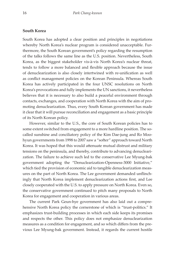#### **South Korea**

South Korea has adopted a clear position and principles in negotiations whereby North Korea's nuclear program is considered unacceptable. Furthermore, the South Korean government's policy regarding the resumption of the talks follows the same line as the U.S. position. Nevertheless, South Korea, as the biggest stakeholder vis-à-vis North Korea's nuclear threat, tends to follow a more balanced and flexible approach because the issue of denuclearization is also closely intertwined with re-unification as well as conflict management policies on the Korean Peninsula. Whereas South Korea has actively participated in the four UNSC resolutions on North Korea's provocations and fully implements the UN sanctions, it nevertheless believes that it is necessary to also build a peaceful environment through contacts, exchanges, and cooperation with North Korea with the aim of promoting denuclearization. Thus, every South Korean government has made it clear that it will pursue reconciliation and engagement as a basic principle of its North Korean policy.

However, similar to the U.S., the core of South Korean policies has to some extent switched from engagement to a more hardline position. The socalled sunshine and conciliatory policy of the Kim Dae-jung and Ro Moohyun governments from 1998 to 2007 saw a "softer" approach toward North Korea. It was hoped that this would attenuate mutual distrust and military tensions on the peninsula, and thereby, contribute to advancing denuclearization. The failure to achieve such led to the conservative Lee Myung-bak government adopting the "Denuclearization-Openness-3000 Initiative," which tied the provision of economic aid to tangible denuclearization measures on the part of North Korea. The Lee government demanded unflinchingly that North Korea implement denuclearization actions first, and Lee closely cooperated with the U.S. to apply pressure on North Korea. Even so, the conservative government continued to pitch many proposals to North Korea for engagement and cooperation in various areas.

The current Park Geun-hye government has also laid out a comprehensive North Korea policy the cornerstone of which is "trust-politics." It emphasizes trust-building processes in which each side keeps its promises and respects the other. This policy does not emphasize denuclearization measures as a condition for engagement, and so which differs from the previous Lee Myung-bak government. Instead, it regards the current hostile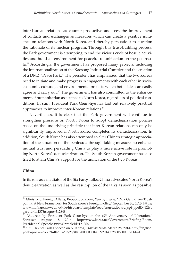inter-Korean relations as counter-productive and sees the improvement of contacts and exchanges as measures which can create a positive influence on relations with North Korea, and thereby persuade it to question the rationale of its nuclear program. Through this trust-building process, the Park government is attempting to end the vicious cycle of hostile activities and build an environment for peaceful re-unification on the peninsu- $Ia<sup>19</sup>$  Accordingly, the government has proposed many projects, including the internationalization of the Kaesong Industrial Complex and the creation of a DMZ "Peace Park." The president has emphasized that the two Koreas need to initiate and make progress in engagements with each other in socioeconomic, cultural, and environmental projects which both sides can easily agree and carry out.<sup>20</sup> The government has also committed to the enhancement of humanitarian assistance to North Korea, regardless of political conditions. In sum, President Park Geun-hye has laid out relatively practical approaches to improve inter-Korean relations.<sup>21</sup>

Nevertheless, it is clear that the Park government will continue to strengthen pressure on North Korea to adopt denuclearization policies based on the underlying principle that inter-Korean relations can only be significantly improved if North Korea completes its denuclearization. In addition, South Korea has also attempted to alter China's strategic appreciation of the situation on the peninsula through taking measures to enhance mutual trust and persuading China to play a more active role in promoting North Korea's denuclearization. The South Korean government has also tried to attain China's support for the unification of the two Koreas.

#### **China**

In its role as a mediator of the Six Party Talks, China advocates North Korea's denuclearization as well as the resumption of the talks as soon as possible.

<sup>&</sup>lt;sup>19</sup> Ministry of Foreign Affairs, Republic of Korea, Yun Byung-se, "Park Geun-hye's Trustpolitik: A New Framework for South Korea's Foreign Policy," September 30, 2013, http:// www.mofa.go.kr/webmodule/htsboard/template/read/engreadboard.jsp?typeID=12&b oardid=14137&seqno=312848..

 $20$  "Address by President Park Geun-hye on the  $69<sup>th</sup>$  Anniversary of Liberation," *Korea.net*, August 18, 2014, http://www.korea.net/Government/Briefing-Room/ Presidential-Speeches/view?articleId=121366.

<sup>21 &</sup>quot;Full Text of Park's Speech on N. Korea," *Yonhap News,* March 28, 2014, http://english. yonhapnews.co.kr/full/2014/03/28/40/1200000000AEN20140328008000315F.html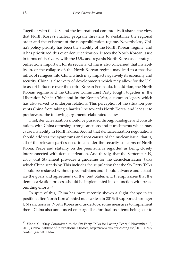Together with the U.S. and the international community, it shares the view that North Korea's nuclear program threatens to destabilize the regional order and the existence of the nonproliferation regime. Nevertheless, China's policy priority has been the stability of the North Korean regime, and it has prioritized this over denuclearization. It sees the North Korean issue in terms of its rivalry with the U.S., and regards North Korea as a strategic buffer zone important for its security. China is also concerned that instability in, or the collapse of, the North Korean regime may lead to a massive influx of refugees into China which may impact negatively its economy and security. China is also wary of developments which may allow for the U.S. to assert influence over the entire Korean Peninsula. In addition, the North Korean regime and the Chinese Communist Party fought together in the Liberation War in China and in the Korean War, a common legacy which has also served to underpin relations. This perception of the situation prevents China from taking a harder line towards North Korea, and leads it to put forward the following arguments elaborated below.

First, denuclearization should be pursued through dialogue and consultation, with China opposing strong sanctions and punishments which may cause instability in North Korea. Second that denuclearization negotiations should address the symptoms and root causes of the nuclear issue; that is, all of the relevant parties need to consider the security concerns of North Korea. Peace and stability on the peninsula is regarded as being closely interconnected with denuclearization. And thirdly, that the September 19, 2005 Joint Statement provides a guideline for the denuclearization talks which China stands by. This includes the stipulation that the Six Party Talks should be restarted without preconditions and should advance and actualize the goals and agreements of the Joint Statement. It emphasizes that the denuclearization process should be implemented in conjunction with peace building efforts.<sup>22</sup>

In spite of this, China has more recently shown a slight change in its position after North Korea's third nuclear test in 2013: it supported stronger UN sanctions on North Korea and undertook some measures to implement them. China also announced embargo lists for dual-use items being sent to

 $\overline{22}$  Wang Yi, "Stay Committed to the Six-Party Talks for Lasting Peace," November 13, 2013, China Institute of International Studies, http://www.ciis.org.cn/english/2013-11/13/ content\_6455051.htm.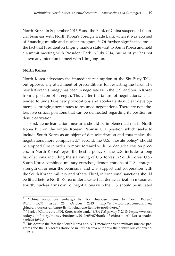North Korea in September 2013,<sup>23</sup> and the Bank of China suspended financial business with North Korea's Foreign Trade Bank when it was accused of financing missile and nuclear programs.<sup>24</sup> Of further significance too is the fact that President Xi Jinping made a state visit to South Korea and held a summit meeting with President Park in July 2014, but as of yet has not shown any intention to meet with Kim Jong-un.

#### **North Korea**

North Korea advocates the immediate resumption of the Six Party Talks but opposes any attachment of preconditions for restarting the talks. The North Korean strategy has been to negotiate with the U.S. and South Korea from a position of strength. Thus, after the failure of negotiations, it has tended to undertake new provocations and accelerate its nuclear development, so bringing new issues to resumed negotiations. There are nonetheless five critical positions that can be delineated regarding its position on denuclearization.

First, denuclearization measures should be implemented not in North Korea but on the whole Korean Peninsula, a position which seeks to include South Korea as an object of denuclearization and thus makes the negotiations more complicated.25 Second, the U.S. "hostile policy" should be stopped first in order to move forward with the denuclearization process. In North Korea's eyes, the hostile policy of the U.S. includes a long list of actions, including the stationing of U.S. forces in South Korea, U.S.- South Korea combined military exercises, demonstrations of U.S. strategic strength on or near the peninsula, and U.S. support and cooperation with the South Korean military and others. Third, international sanctions should be lifted before North Korea undertakes actual denuclearization measures. Fourth, nuclear arms control negotiations with the U.S. should be initiated

<sup>&</sup>lt;sup>23</sup> "China announces embargo list for dual-use items to North Korea," *World ECR*, Issue 26, October 2013, http://www.worldecr.com/archives/ china-announces-embargo-list-for-dual-use-items-to-north-korea/.

<sup>24</sup>"Bank of China cuts off N. Korea trade bank," *USA Today,* May 7, 2013, http://www.usa today.com/story/money/business/2013/05/07/bank-of-china-north-korea-tradebank/2140893/.

<sup>&</sup>lt;sup>25</sup> This despite the fact that South Korea as a NPT member has no military nuclear programs and the U.S. forces stationed in South Korea withdrew their entire nuclear arsenal in 1991.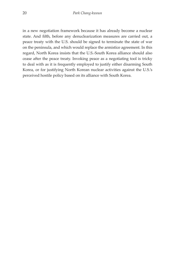in a new negotiation framework because it has already become a nuclear state. And fifth, before any denuclearization measures are carried out, a peace treaty with the U.S. should be signed to terminate the state of war on the peninsula, and which would replace the armistice agreement. In this regard, North Korea insists that the U.S.-South Korea alliance should also cease after the peace treaty. Invoking peace as a negotiating tool is tricky to deal with as it is frequently employed to justify either disarming South Korea, or for justifying North Korean nuclear activities against the U.S.'s perceived hostile policy based on its alliance with South Korea.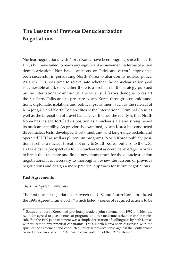# **The Lessons of Previous Denuclearization Negotiations**

Nuclear negotiations with North Korea have been ongoing since the early 1990s but have failed to reach any significant achievement in terms of actual denuclearization. Nor have sanctions or "stick-and-carrot" approaches been successful in persuading North Korea to abandon its nuclear policy. As such, it is now time to re-evaluate whether the denuclearization goal is achievable at all, or whether there is a problem in the strategy pursued by the international community. The latter still favors dialogue to restart the Six Party Talks and to pressure North Korea through economic sanctions, diplomatic isolation, and political punishment such as the referral of Kim Jong-un and North Korean elites to the International Criminal Court as well as the imposition of travel bans. Nevertheless, the reality is that North Korea has instead fortified its position as a nuclear state and strengthened its nuclear capability. As previously examined, North Korea has conducted three nuclear tests, developed short-, medium-, and long-range rockets, and operated HEU as well as plutonium programs. North Korea publicly positions itself as a nuclear threat, not only to South Korea, but also to the U.S., and wields the prospect of a fourth nuclear test as coercive leverage. In order to break the stalemate and find a new momentum for the denuclearization negotiations, it is necessary to thoroughly review the lessons of previous negotiations and design a more practical approach for future negotiations.

#### **Past Agreements**

#### *The 1994 Agreed Framework*

The first nuclear negotiations between the U.S. and North Korea produced the 1994 Agreed Framework,<sup>26</sup> which listed a series of required actions to be

 $\frac{26}{10}$  South and North Korea had previously made a joint statement in 1992 in which the two sides agreed to give up nuclear programs and pursue denuclearization on the peninsula. But the 1992 joint statement was a simple declaration of willingness by both Koreas without setting any practical constraints. Thus, North Korea soon dispensed with the spirit of the agreement and conducted "nuclear provocations" against the South which caused a nuclear crisis in 1993-1994, in clear violation of the 1992 statement.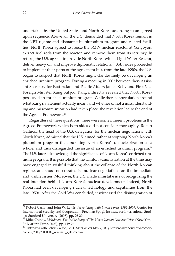undertaken by the United States and North Korea according to an agreed upon sequence. Above all, the U.S. demanded that North Korea remain in the NPT regime and dismantle its plutonium program and related facilities. North Korea agreed to freeze the 5MW nuclear reactor at Yongbyon, extract fuel rods from the reactor, and remove them from its territory. In return, the U.S. agreed to provide North Korea with a Light-Water Reactor, deliver heavy oil, and improve diplomatic relations.<sup>27</sup> Both sides proceeded to implement their parts of the agreement but, from the late 1990s, the U.S. began to suspect that North Korea might clandestinely be developing an enriched uranium program. During a meeting in 2002 between then-Assistant Secretary for East Asian and Pacific Affairs James Kelly and First Vice Foreign Minister Kang Sukjoo, Kang indirectly revealed that North Korea possessed an enriched uranium program. While there is speculation around what Kang's statement actually meant and whether or not a misunderstanding and miscommunication had taken place, the revelation led to the end of the Agreed Framework.<sup>28</sup>

Regardless of these questions, there were some inherent problems in the Agreed Framework which both sides did not consider thoroughly. Robert Gallucci, the head of the U.S. delegation for the nuclear negotiations with North Korea, admitted that the U.S. aimed rather at stopping North Korea's plutonium program than pursuing North Korea's denuclearization as a whole, and thus disregarded the issue of an enriched uranium program.<sup>29</sup> The U.S. later acknowledged the significance of North Korea's enriched uranium program. It is possible that the Clinton administration at the time may have engaged in wishful thinking about the collapse of the North Korean regime, and thus concentrated its nuclear negotiations on the immediate and visible issues. Moreover, the U.S. made a mistake in not recognizing the real intention behind North Korea's nuclear development. Indeed, North Korea had been developing nuclear technology and capabilities from the late 1950s. After the Cold War concluded, it witnessed the disintegration of

<sup>27</sup>Robert Carlin and John W. Lewis, *Negotiating with North Korea; 1992-2007*, Center for International Security and Cooperation, Freeman Spogli Institute for International Studies, Stanford University (2008), pp. 26-29.

<sup>&</sup>lt;sup>28</sup> Mike Chinoy, *Meltdown: The Inside Story of The North Korean Nuclear Crisis* (New York: St. Martin's Press, 2008), pp. 119-26.

<sup>29 &</sup>quot;Interview with Robert Galluci," *ABC Four Corners,* May 7, 2003, http://www.abc.net.au/4corners/ content/2003/20030602\_korea/int\_gallucci.htm.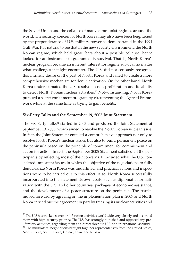the Soviet Union and the collapse of many communist regimes around the world. The security concern of North Korea may also have been heightened by the preponderance of U.S. military power as demonstrated in the 1991 Gulf War. It is natural to see that in the new security environment, the North Korean regime, which held great fears about a possible collapse, hence looked for an instrument to guarantee its survival. That is, North Korea's nuclear program became an inherent interest for regime survival no matter what challenges it might encounter. The U.S. did not seriously recognize this intrinsic desire on the part of North Korea and failed to create a more comprehensive mechanism for denuclearization. On the other hand, North Korea underestimated the U.S. resolve on non-proliferation and its ability to detect North Korean nuclear activities.<sup>30</sup> Notwithstanding, North Korea pursued a secret enrichment program by circumventing the Agreed Framework while at the same time as trying to gain benefits.

#### **Six-Party Talks and the September 19, 2005 Joint Statement**

The Six Party Talks<sup>31</sup> started in 2003 and produced the Joint Statement of September 19, 2005, which aimed to resolve the North Korean nuclear issue. In fact, the Joint Statement entailed a comprehensive approach not only to resolve North Korea's nuclear issues but also to build permanent peace on the peninsula based on the principle of commitment for commitment and action for action. In fact, the September 2005 Statement satisfied all the participants by reflecting most of their concerns. It included what the U.S. considered important issues in which the objective of the negotiations to fully denuclearize North Korea was underlined, and practical actions and inspections were to be carried out to this effect. Also, North Korea successfully incorporated into the statement its own goals, such as diplomatic normalization with the U.S. and other countries, packages of economic assistance, and the development of a peace structure on the peninsula. The parties moved forward by agreeing on the implementation plan in 2007 and North Korea carried out the agreement in part by freezing its nuclear activities and

 $30$  The U.S has tracked secret proliferation activities worldwide very closely and accorded them with high security priority. The U.S. has strongly punished and opposed any proliferatory activities, regarding them as a direct threat to U.S. and international security.  $31$  The multilateral negotiations brought together representatives from the United States, North Korea, South Korea, China, Japan, and Russia.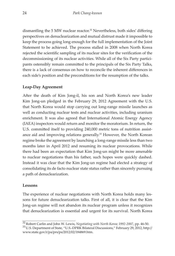dismantling the 5 MW nuclear reactor.<sup>32</sup> Nevertheless, both sides' differing perspectives on denuclearization and mutual distrust made it impossible to keep the process going long enough for the full implementation of the Joint Statement to be achieved. The process stalled in 2008 when North Korea rejected the scientific sampling of its nuclear sites for the verification of the decommissioning of its nuclear activities. While all of the Six Party participants ostensibly remain committed to the principals of the Six Party Talks, there is a lack of consensus on how to reconcile the inherent differences in each side's position and the preconditions for the resumption of the talks.

#### **Leap-Day Agreement**

After the death of Kim Jong-il, his son and North Korea's new leader Kim Jong-un pledged in the February 29, 2012 Agreement with the U.S. that North Korea would stop carrying out long-range missile launches as well as conducting nuclear tests and nuclear activities, including uranium enrichment. It was also agreed that International Atomic Energy Agency (IAEA) inspectors would return and monitor the moratorium. In return, the U.S. committed itself to providing 240,000 metric tons of nutrition assistance aid and improving relations generally.<sup>33</sup> However, the North Korean regime broke the agreement by launching a long-range missile less than two months later in April 2012 and resuming its nuclear provocations. While there had been an expectation that Kim Jong-un might be more amenable to nuclear negotiations than his father, such hopes were quickly dashed. Instead it was clear that the Kim Jong-un regime had elected a strategy of consolidating its de facto nuclear state status rather than sincerely pursuing a path of denuclearization.

#### **Lessons**

The experience of nuclear negotiations with North Korea holds many lessons for future denuclearization talks. First of all, it is clear that the Kim Jong-un regime will not abandon its nuclear program unless it recognizes that denuclearization is essential and urgent for its survival. North Korea

<sup>&</sup>lt;sup>32</sup> Robert Carlin and John W. Lewis, *Negotiating with North Korea*; 1992-2007, pp. 46-50.<br><sup>33</sup> U.S. Department of State, "U.S.-DPRK Bilateral Discussions," February 29, 2012, http:// www.state.gov/r/pa/prs/ps/2012/02/184869.htm.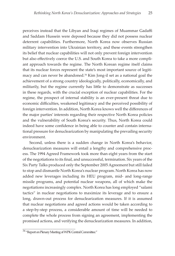perceives instead that the Libyan and Iraqi regimes of Muammar Gadaffi and Saddam Hussein were deposed because they did not possess nuclear deterrent capabilities. Furthermore, North Korea now observes Russian military intervention into Ukrainian territory, and these events strengthen its belief that nuclear capabilities will not only prevent foreign intervention but also effectively coerce the U.S. and South Korea to take a more compliant approach towards the regime. The North Korean regime itself claims that its nuclear forces represent the state's most important source of legitimacy and can never be abandoned. $34$  Kim Jong-il set as a national goal the achievement of a strong country ideologically, politically, economically, and militarily, but the regime currently has little to demonstrate as successes in these regards, with the crucial exception of nuclear capabilities. For the regime, the prospect of internal stability is an ever-present threat due to economic difficulties, weakened legitimacy and the perceived possibility of foreign intervention. In addition, North Korea knows well the differences of the major parties' interests regarding their respective North Korea policies and the vulnerability of South Korea's security. Thus, North Korea could indeed have some confidence in being able to counter and contain international pressure for denuclearization by manipulating the prevailing security environment.

Second, unless there is a sudden change in North Korea's behavior, denuclearization measures will entail a lengthy and comprehensive process. The 1994 Agreed Framework took more than eight years from the start of the negotiations to its final, and unsuccessful, termination. Six years of the Six Party Talks produced only the September 2005 Agreement but still failed to stop and dismantle North Korea's nuclear program. North Korea has now added new leverages including its HEU program, mid- and long-range missile programs, and potential nuclear weapons, all of which make the negotiations increasingly complex. North Korea has long employed "salami tactics" in nuclear negotiations to maximize its leverage and to ensure a long, drawn-out process for denuclearization measures. If it is assumed that nuclear negotiations and agreed actions would be taken according to a step-by-step process, a considerable amount of time will be needed to complete the whole process from signing an agreement, implementing the promised actions, and verifying the denuclearization measures. In addition,

<sup>34</sup>"Report on Plenary Meeting of WPK Central Committee."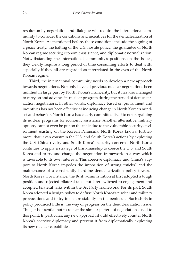resolution by negotiation and dialogue will require the international community to consider the conditions and incentives for the denuclearization of North Korea. As mentioned before, these conditions include the signing of a peace treaty, the halting of the U.S. hostile policy, the guarantee of North Korean regime security, economic assistance, and diplomatic normalization. Notwithstanding the international community's positions on the issues, they clearly require a long period of time consuming efforts to deal with, especially if they all are regarded as interrelated in the eyes of the North Korean regime.

Third, the international community needs to develop a new approach towards negotiations. Not only have all previous nuclear negotiations been nullified in large part by North Korea's insincerity, but it has also managed to carry on and advance its nuclear program during the period of denuclearization negotiations. In other words, diplomacy based on punishment and incentives has not been effective at inducing change in North Korea's mindset and behavior. North Korea has clearly committed itself to not bargaining its nuclear programs for economic assistance. Another alternative, military options, cannot even be put on the table due to the vulnerable security environment existing on the Korean Peninsula. North Korea knows, furthermore, that it can constrain the U.S. and South Korea's actions by exploiting the U.S.-China rivalry and South Korea's security concerns. North Korea continues to apply a strategy of brinkmanship to coerce the U.S. and South Korea and to try and change the negotiation framework in a way which is favorable to its own interests. This coercive diplomacy and China's support to North Korea impedes the imposition of strong "sticks" and the maintenance of a consistently hardline denuclearization policy towards North Korea. For instance, the Bush administration at first adopted a tough position and rejected bilateral talks but later switched to engagement and accepted bilateral talks within the Six Party framework. For its part, South Korea adopted a benign policy to defuse North Korea's nuclear and military provocations and to try to ensure stability on the peninsula. Such shifts in policy produced little in the way of progress on the denuclearization issue. Thus, it is essential not to repeat the similar pattern of negotiations used to this point. In particular, any new approach should effectively counter North Korea's coercive diplomacy and prevent it from diplomatically exploiting its new nuclear capabilities.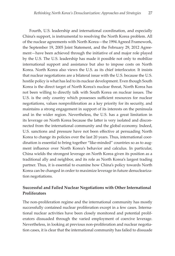Fourth, U.S. leadership and international coordination, and especially China's support, is instrumental to resolving the North Korea problem. All of the nuclear agreements with North Korea—the 1994 Agreed Framework, the September 19, 2005 Joint Statement, and the February 29, 2012 Agreement—have been achieved through the initiative of and major role played by the U.S. The U.S. leadership has made it possible not only to mobilize international support and assistance but also to impose costs on North Korea. North Korea also views the U.S. as its chief interlocutor. It insists that nuclear negotiations are a bilateral issue with the U.S. because the U.S. hostile policy is what has led to its nuclear development. Even though South Korea is the direct target of North Korea's nuclear threat, North Korea has not been willing to directly talk with South Korea on nuclear issues. The U.S. is the only country which possesses sufficient resources for nuclear negotiations, values nonproliferation as a key priority for its security, and maintains a strong engagement in support of its interests on the peninsula and in the wider region. Nevertheless, the U.S. has a great limitation in its leverage on North Korea because the latter is very isolated and disconnected from the international community and the global economy. Indeed, U.S. sanctions and pressure have not been effective at persuading North Korea to change its policies over the last 20 years. Thus, international coordination is essential to bring together "like-minded" countries so as to augment influence over North Korea's behavior and calculus. In particular, China wields the strongest leverage on North Korea given its position as a traditional ally and neighbor, and its role as North Korea's largest trading partner. Thus, it is essential to examine how China's policy towards North Korea can be changed in order to maximize leverage in future denuclearization negotiations.

#### **Successful and Failed Nuclear Negotiations with Other International Proliferators**

The non-proliferation regime and the international community has mostly successfully contained nuclear proliferation except in a few cases. International nuclear activities have been closely monitored and potential proliferators dissuaded through the varied employment of coercive leverage. Nevertheless, in looking at previous non-proliferation and nuclear negotiation cases, it is clear that the international community has failed to dissuade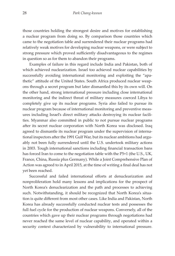those countries holding the strongest desire and motives for establishing a nuclear program from doing so. By comparison those countries which came to the negotiation table and surrendered their nuclear programs had relatively weak motives for developing nuclear weapons, or were subject to strong pressure which proved sufficiently disadvantageous to the regimes in question so as for them to abandon their programs.

Examples of failure in this regard include India and Pakistan, both of which achieved nuclearization. Israel too achieved nuclear capabilities by successfully avoiding international monitoring and exploiting the "apathetic" attitude of the United States. South Africa produced nuclear weapons through a secret program but later dismantled this by its own will. On the other hand, strong international pressure including close international monitoring and the indirect threat of military measures coerced Libya to completely give up its nuclear programs. Syria also failed to pursue its nuclear program because of international monitoring and preventive measures including Israel's direct military attacks destroying its nuclear facilities. Myanmar also committed in public to not pursue nuclear programs after its secret nuclear corporation with North Korea was disclosed. Iraq agreed to dismantle its nuclear program under the supervision of international inspectors after the 1991 Gulf War, but its nuclear ambitions had arguably not been fully surrendered until the U.S. undertook military actions in 2003. Tough international sanctions including financial transaction bans has forced Iran to come to the negotiation table with the P5+1 (the U.S., UK, France, China, Russia plus Germany). While a Joint Comprehensive Plan of Action was agreed to in April 2015, at the time of writing a final deal has not yet been reached.

Successful and failed international efforts at denuclearization and nonproliferation hold many lessons and implications for the prospect of North Korea's denuclearization and the path and processes to achieving such. Notwithstanding, it should be recognized that North Korea's situation is quite different from most other cases. Like India and Pakistan, North Korea has already successfully conducted nuclear tests and possesses the full fuel cycle for the production of nuclear weapons. Conversely, all of the countries which gave up their nuclear programs through negotiations had never reached the same level of nuclear capability, and operated within a security context characterized by vulnerability to international pressure.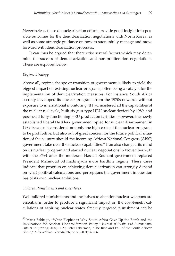Nevertheless, these denuclearization efforts provide good insight into possible outcomes for the denuclearization negotiations with North Korea, as well as some strategic guidance on how to successfully manage and move forward with denuclearization processes.

It can thus be argued that there exist several factors which may determine the success of denuclearization and non-proliferation negotiations. These are explored below.

#### *Regime Strategy*

Above all, regime change or transition of government is likely to yield the biggest impact on existing nuclear programs, often being a catalyst for the implementation of denuclearization measures. For instance, South Africa secretly developed its nuclear programs from the 1970s onwards without exposure to international monitoring. It had mastered all the capabilities of the nuclear fuel cycle, built six gun-type HEU nuclear devices by 1989, and possessed fully-functioning HEU production facilities. However, the newly established liberal De Klerk government opted for nuclear disarmament in 1989 because it considered not only the high costs of the nuclear programs to be prohibitive, but also out of great concern for the future political situation of the country should the incoming African National Congress (ANC) government take over the nuclear capabilities.<sup>35</sup> Iran also changed its mind on its nuclear program and started nuclear negotiations in November 2013 with the P5+1 after the moderate Hassan Rouhani government replaced President Mahmoud Ahmadinejad's more hardline regime. These cases indicate that progress on achieving denuclearization can strongly depend on what political calculations and perceptions the government in question has of its own nuclear ambitions.

#### *Tailored Punishments and Incentives*

Well-tailored punishments and incentives to abandon nuclear weapons are essential in order to produce a significant impact on the cost-benefit calculations of aspiring nuclear states. Smartly targeted punishment can be

 $35$  Maria Babbage, "White Elephants: Why South Africa Gave Up the Bomb and the Implications for Nuclear Nonproliferation Policy," *Journal of Public and International Affairs* 15 (Spring 2004): 1-20; Peter Liberman, "The Rise and Fall of the South African Bomb," *International Security*, 26, no. 2 (2001): 45-86.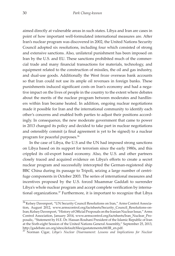aimed directly at vulnerable areas in such states. Libya and Iran are cases in point of how important well-formulated international measures are. After Iran's nuclear program was discovered in 2002, the United Nations Security Council adopted six resolutions, including four which consisted of strong and extensive sanctions. Also, unilateral punishment has been imposed on Iran by the U.S. and EU. These sanctions prohibited much of the commercial trade and many financial transactions for materials, technology, and equipment related to the construction of missiles, the oil and gas industry, and dual-use goods. Additionally the West froze overseas bank accounts so that Iran could not use its ample oil revenues in foreign banks. These punishments induced significant costs on Iran's economy and had a negative impact on the lives of people in the country to the extent where debates about the merits of the nuclear program between moderates and hardliners within Iran became heated. In addition, ongoing nuclear negotiations made it possible for Iran and the international community to identify each other's concerns and enabled both parties to adjust their positions accordingly. In consequence, the new moderate government that came to power in 2013 changed its policy and decided to take part in nuclear negotiations and ostensibly commit (a final agreement is yet to be signed) to a nuclear program for peaceful purposes. 36

In the case of Libya, the U.S and the UN had imposed strong sanctions on Libya based on its support for terrorism since the early 1980s, and this crippled its oil-export based economy. Also, the U.S. and other partners closely traced and acquired evidence on Libya's efforts to create a secret nuclear program and successfully intercepted the German-registered ship BBC China during its passage to Tripoli, seizing a large number of centrifuge components in October 2003. The series of international measures and incentives proposed by the U.S. forced Muammar Gaddafi to surrender Libya's whole nuclear program and accept complete verification by international organizations.<sup>37</sup> Furthermore, it is important to recognize that Libya

<sup>36</sup> Kelsey Davenport, "UN Security Council Resolutions on Iran," Arms Control Association, August 2012, www.armscontrol.org/factsheets/Security\_Council\_Resolutions-on-Iran; Kelsey Davenport, "History of Official Proposals on the Iranian Nuclear Issue," Arms Control Association, January 2014, www.armscontrol.org/factsheets/Iran\_Nuclear\_Proposals;, "Statement by H.E. Dr. Hassan Rouhani President of the Islamic Republic of Iran at the Sixth-eight Session of the United Nations General Assembly," September 25, 2013, http://gadebate.un.org/sites/default/files/gastatements/68/IR\_en.pdf.

<sup>37</sup> Norman Cigar, *Libya's Nuclear Disarmament: Lessons and Implications for Nuclear*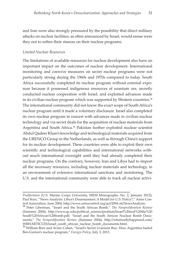and Iran were also strongly pressured by the possibility that direct military attacks on nuclear facilities, as often announced by Israel, would ensue were they not to soften their stances on their nuclear programs.

#### *Limited Nuclear Resources*

The limitations of available resources for nuclear development also have an important impact on the outcomes of nuclear development. International monitoring and coercive measures on secret nuclear programs were not particularly strong during the 1960s and 1970s compared to today. South Africa successfully completed its nuclear program without external exposure because it possessed indigenous resources of uranium ore, secretly conducted nuclear cooperation with Israel, and exploited advances made in its civilian nuclear program which was supported by Western countries.<sup>38</sup> The international community did not know the exact scope of South Africa's nuclear program until it made a voluntary disclosure. Israel also completed its own nuclear program in concert with advances made in civilian nuclear technology and via secret deals for the acquisition of nuclear materials from Argentina and South Africa.<sup>39</sup> Pakistan further exploited nuclear scientist Abdul Qadeer Khan's knowledge and technological materials acquired from the URENCO Group in the Netherlands, as well as through China's support for its nuclear development. These countries were able to exploit their own scientific and technological capabilities and international networks without much international oversight until they had already completed their nuclear programs. On the contrary, however, Iran and Libya had to import all the necessary resources, including nuclear materials and technology, in an environment of extensive international sanctions and monitoring. The U.S. and the international community were able to track all nuclear activi-

*Proliferation* (U.S. Marine Corps University, MEM Monographs, No. 2, January 2012); Paul Kerr, "News Analysis: Libya's Disarmament: A Model for U.S. Policy?," Arms Con-

trol Association*,* June 2004, http://www.armscontrol.org/act/2004 o6/NewsAnalysis. 38 Peter Liberman, "Israel and the South African Bomb," *The Nonproliferation Review* (Summer 2004), http://www.qc.edu/political\_science/profmat/Israel%20and%20the%20 South%20African%20bomb.pdf; "Israel and the South African Nuclear Bomb Documents," *The Nonproliferation Review* (Summer 2004), http://whatreallyhappened.com/ WRHARTICLES/israel\_south\_african\_nuclear\_bomb\_documents.html.

<sup>&</sup>lt;sup>39</sup> William Burr and Avner Cohen, "Israel's Secret Uranium Buy: How Argentina fueled Ben-Gurion's nuclear program," *Foreign Policy,* July 2, 2013.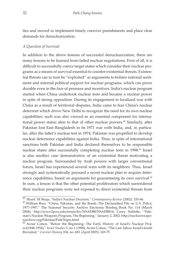ties and moved to implement timely coercive punishments and place clear demands for denuclearization.

#### *A Question of Survival*

In addition to the above lessons of successful denuclearization, there are many lessons to be learned from failed nuclear negotiations. First of all, it is difficult to successfully coerce target states which consider their nuclear programs as a means of survival essential to counter existential threats. Existential threats can in turn be "exploited" as arguments to bolster national sentiment and internal political support for nuclear programs, which can prove durable even in the face of pressure and incentives. India's nuclear program started when China undertook nuclear tests and became a nuclear power in spite of strong opposition. During its engagement in localized war with China as a result of territorial disputes, India came to fear China's nuclear deterrent which drove New Delhi to recognize the need for its own nuclear capabilities; such was also viewed as an essential component for international power status akin to that of other nuclear powers.<sup>40</sup> Similarly, after Pakistan lost East Bangladesh in its 1971 war with India, and, in particular, after the latter's nuclear test in 1974, Pakistan was propelled to develop nuclear deterrence capabilities against India. Thus, in spite of international sanctions both Pakistan and India declared themselves to be responsible nuclear states after successfully completing nuclear tests in 1998.<sup>41</sup> Israel is also another case demonstrative of an existential threat motivating a nuclear program. Surrounded by Arab powers with larger conventional forces, Israel has experienced several wars with its neighbors. Thus, Israel strongly and systematically pursued a secret nuclear plan to acquire deterrence capabilities, based on arguments for guaranteeing its own survival.<sup>42</sup> In sum, a lesson is that the other potential proliferators which surrendered their nuclear programs were not exposed to direct existential threats from

<sup>40</sup> Sharif. M Shuja, "India's Nuclear Decision," *Contemporary Review* (2002): 335-46.

 $41$  William Burr, "China, Pakistan, and the Bomb: The Declassified File on U.S. Policy, 1977-1997," The National Security Archive Electronic Briefing Book No. 114 (March 2004), http://www2gwu.edu/~nsarchiv/NSAEBB/NSAEBB14; Carey Sublette, "Pakistan's Nuclear Weapons Program, The Beginning," January 2, 2002, http://nuclearweaponarchive.org/Pakistan/PakOrigin.html.

<sup>42</sup> Avner Cohen, "Before the Beginning: The Early History of Israel's Nuclear Project(1948-1954)," *Israel Studies* 3, no.1 (1998); Avner Cohen, "The Last Taboo: Israel's bomb Revisited," *Current History* 104, no. 681 (April 2005): 169-75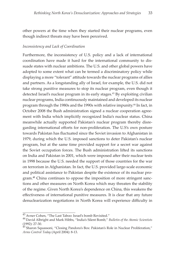other powers at the time when they started their nuclear programs, even though indirect threats may have been perceived.

#### *Inconsistency and Lack of Coordination*

Furthermore, the inconsistency of U.S. policy and a lack of international coordination have made it hard for the international community to dissuade states with nuclear ambitions. The U.S. and other global powers have adopted to some extent what can be termed a discriminatory policy while displaying a more "tolerant" attitude towards the nuclear programs of allies and partners. As a longstanding ally of Israel, for example, the U.S. did not take strong punitive measures to stop its nuclear program, even though it detected Israel's nuclear program in its early stages.<sup>43</sup> By exploiting civilian nuclear programs, India continuously maintained and developed its nuclear program through the 1980s and the 1990s with relative impunity.<sup>44</sup> In fact, in October 2008 the Bush administration signed a nuclear cooperation agreement with India which implicitly recognized India's nuclear status. China meanwhile actually supported Pakistan's nuclear program thereby disregarding international efforts for non-proliferation. The U.S's own posture towards Pakistan has fluctuated since the Soviet invasion to Afghanistan in 1979, during which the U.S. imposed sanctions to deter Pakistan's nuclear program, but at the same time provided support for a secret war against the Soviet occupation forces. The Bush administration lifted its sanctions on India and Pakistan in 2001, which were imposed after their nuclear tests in 1998 because the U.S. needed the support of those countries for the war on terrorism in Afghanistan. In fact, the U.S. provided large-scale economic and political assistance to Pakistan despite the existence of its nuclear program.**<sup>45</sup>** China continues to oppose the imposition of more stringent sanctions and other measures on North Korea which may threaten the stability of the regime. Given North Korea's dependence on China, this weakens the effectiveness of international punitive measures. It is clear that any future denuclearization negotiations in North Korea will experience difficulty in

<sup>43</sup> Avner Cohen, "The Last Taboo: Israel's bomb Revisited."

<sup>44</sup> David Albright and Mark Hibbs, "India's Silent Bomb," *Bulletin of the Atomic Scientists*  (1992): 27-30.

<sup>45</sup> Sharon Squassoni, "Closing Pandora's Box: Pakistan's Role in Nuclear Proliferation," *Arms Control Today* (April 2004): 8-13.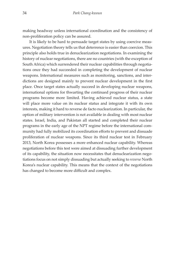making headway unless international coordination and the consistency of non-proliferation policy can be assured.

It is likely to be hard to persuade target states by using coercive measures. Negotiation theory tells us that deterrence is easier than coercion. This principle also holds true in denuclearization negotiations. In examining the history of nuclear negotiations, there are no countries (with the exception of South Africa) which surrendered their nuclear capabilities through negotiations once they had succeeded in completing the development of nuclear weapons. International measures such as monitoring, sanctions, and interdictions are designed mainly to prevent nuclear development in the first place. Once target states actually succeed in developing nuclear weapons, international options for thwarting the continued progress of their nuclear programs become more limited. Having achieved nuclear status, a state will place more value on its nuclear status and integrate it with its own interests, making it hard to reverse de facto nuclearization. In particular, the option of military intervention is not available in dealing with most nuclear states. Israel, India, and Pakistan all started and completed their nuclear programs in the early age of the NPT regime before the international community had fully mobilized its coordination efforts to prevent and dissuade proliferation of nuclear weapons. Since its third nuclear test in February 2013, North Korea possesses a more enhanced nuclear capability. Whereas negotiations before this test were aimed at dissuading further development of its capability, the situation now necessitates that denuclearization negotiations focus on not simply dissuading but actually seeking to *reverse* North Korea's nuclear capability. This means that the context of the negotiations has changed to become more difficult and complex.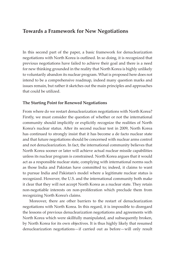## **Towards a Framework for New Negotiations**

In this second part of the paper, a basic framework for denuclearization negotiations with North Korea is outlined. In so doing, it is recognized that previous negotiations have failed to achieve their goal and there is a need for new thinking grounded in the reality that North Korea is highly unlikely to voluntarily abandon its nuclear program. What is proposed here does not intend to be a comprehensive roadmap, indeed many question marks and issues remain, but rather it sketches out the main principles and approaches that could be utilized.

#### **The Starting Point for Renewed Negotiations**

From where do we restart denuclearization negotiations with North Korea? Firstly, we must consider the question of whether or not the international community should implicitly or explicitly recognize the realities of North Korea's nuclear status. After its second nuclear test in 2009, North Korea has continued to strongly insist that it has become a de facto nuclear state and that future negotiations should be concerned with nuclear arms control and not denuclearization. In fact, the international community believes that North Korea sooner or later will achieve actual nuclear missile capabilities unless its nuclear program is constrained. North Korea argues that it would act as a responsible nuclear state, complying with international norms such as those India and Pakistan have committed to; indeed, it claims to want to pursue India and Pakistan's model where a legitimate nuclear status is recognized. However, the U.S. and the international community both make it clear that they will not accept North Korea as a nuclear state. They retain non-negotiable interests on non-proliferation which preclude them from recognizing North Korea's claims.

Moreover, there are other barriers to the restart of denuclearization negotiations with North Korea. In this regard, it is impossible to disregard the lessons of previous denuclearization negotiations and agreements with North Korea which were skillfully manipulated, and subsequently broken, by North Korea for its own objectives. It is thus highly likely that resumed denuclearization negotiations—if carried out as before—will only result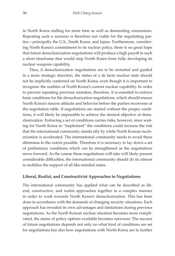in North Korea stalling for more time as well as demanding concessions. Repeating such a scenario is therefore not viable for the negotiating parties—principally the U.S., South Korea, and Japan. Furthermore, considering North Korea's commitment to its nuclear policy, there is no great hope that future denuclearization negotiations will produce a high payoff in such a short timeframe that would stop North Korea from fully developing its nuclear weapons capability.

Thus, if denuclearization negotiations are to be restarted and guided in a more strategic direction, the status of a de facto nuclear state should not be implicitly conferred on North Korea, even though it is important to recognize the realities of North Korea's current nuclear capability. In order to prevent repeating previous mistakes, therefore, it is essential to enforce basic conditions for the denuclearization negotiations, which should ensure North Korea's sincere attitude and behavior before the parties reconvene at the negotiation table. If negotiations are started without the proper conditions, it will likely be impossible to achieve the desired objective of denuclearization. Enforcing a set of conditions carries risks, however, since waiting for North Korea to "implement" the conditions could increase the risk that the international community stands idly by while North Korean nuclearization is accelerated. The international community needs to avoid these dilemmas to the extent possible. Therefore it is necessary to lay down a set of preliminary conditions which can be strengthened as the negotiations move forward. As the course these negotiations will take will likely present considerable difficulties, the international community should do its utmost to mobilize the support of all like-minded states.

#### **Liberal, Realist, and Constructivist Approaches to Negotiations**

The international community has applied what can be described as liberal, constructive, and realist approaches together in a complex manner in order to work towards North Korea's denuclearization. This has been done in accordance with the demands of changing security situations. Each approach has revealed its own advantages and limitations during previous negotiations. As the North Korean nuclear situation becomes more complicated, the menu of policy options available becomes narrower. The success of future negotiations depends not only on what kind of conditions are set for negotiations but also how negotiations with North Korea are to further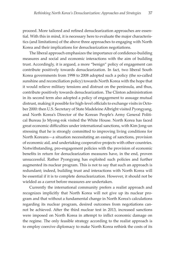proceed. More tailored and refined denuclearization approaches are essential. With this in mind, it is necessary here to evaluate the major characteristics (and limitations) of the above three approaches to engaging with North Korea and their implications for denuclearization negotiations.

The liberal approach emphasizes the importance of confidence-building measures and social and economic interactions with the aim of building trust. Accordingly, it is argued, a more "benign" policy of engagement can contribute positively towards denuclearization. In fact, two liberal South Korea governments from 1998 to 2008 adopted such a policy (the so-called sunshine and reconciliation policy) towards North Korea with the hope that it would relieve military tensions and distrust on the peninsula, and thus, contribute positively towards denuclearization. The Clinton administration in its second term also adopted a policy of engagement to assuage mutual distrust, making it possible for high-level officials to exchange visits in October 2000: then U.S. Secretary of State Madeleine Albright visited Pyongyang, and North Korea's Director of the Korean People's Army General Political Bureau Jo Myong-rok visited the White House. North Korea has faced great economic difficulties under international sanctions, with Kim Jong-un stressing that he is strongly committed to improving living conditions for North Koreans—a situation necessitating an easing of sanctions, provision of economic aid, and undertaking cooperative projects with other countries. Notwithstanding, pro-engagement policies with the provision of economic benefits in return for denuclearization measures have, in the end, proven unsuccessful. Rather Pyongyang has exploited such policies and further augmented its nuclear program. This is not to say that such an approach is redundant; indeed, building trust and interactions with North Korea will be essential if it is to complete denuclearization. However, it should not be wielded as a carrot before measures are undertaken.

Currently the international community prefers a realist approach and recognizes implicitly that North Korea will not give up its nuclear program and that without a fundamental change in North Korea's calculations regarding its nuclear program, desired outcomes from negotiations cannot be achieved. After the third nuclear test in 2013, increased sanctions were imposed on North Korea in attempt to inflict economic damage on the regime. The only feasible strategy according to the realist approach is to employ coercive diplomacy to make North Korea rethink the costs of its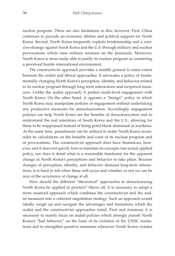nuclear program. There are also limitations to this, however. First, China continues to provide an economic lifeline and political support for North Korea. Second, North Korea frequently exploits brinkmanship and a coercive strategy against South Korea and the U.S. through military and nuclear provocations which raise military tensions on the peninsula. Moreover, North Korea is more easily able to justify its nuclear program as countering a perceived hostile international environment.

The constructivist approach provides a middle ground to some extent between the realist and liberal approaches. It advocates a policy of fundamentally changing North Korea's perception, identity, and behavior related to its nuclear program through long-term interactions and reciprocal measures. Unlike the realist approach, it prefers multi-level engagement with North Korea. On the other hand, it opposes a "benign" policy in which North Korea may manipulate policies of engagement without undertaking any productive measures for denuclearization. Accordingly, engagement policies can help North Korea see the benefits of denuclearization and to understand the real intentions of South Korea and the U.S., allowing for these to be reappraised instead of being point blank dismissed as insidious. At the same time, punishment can be utilized to make North Korea reconsider its calculations on the benefits and costs of its nuclear program and of provocations. The constructivist approach does have limitations, however, and it does not specify how to translate its concepts into actual applied policy, nor does it detail what is a reasonable timeframe for the apparent change in North Korea's perceptions and behavior to take place. Because changes of perception, identity, and behavior demand long-term interactions, it is hard to tell when these will occur and whether or not we can be sure of the occurrence of change at all.

How should the different "theoretical" approaches to denuclearizing North Korea be applied in practice? Above all, it is necessary to adopt a more nuanced approach which combines the constructivist and the realist measures into a coherent negotiation strategy. Such an approach would ideally weigh up and navigate the advantages and limitations which the realist and the constructivist approaches entail. First and foremost, it is necessary to mainly focus on realist policies which strongly punish North Korea's "bad behavior" on the basis of its violation of the UNSC resolutions and to strengthen punitive measures whenever North Korea violates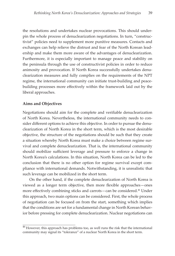the resolutions and undertakes nuclear provocations. This should underpin the whole process of denuclearization negotiations. In turn, "constructivist" policies need to supplement more punitive measures. Contacts and exchanges can help relieve the distrust and fear of the North Korean leadership and make them more aware of the advantages of denuclearization. Furthermore, it is especially important to manage peace and stability on the peninsula through the use of constructivist policies in order to reduce animosity and provocation. If North Korea successfully undertakes denuclearization measures and fully complies on the requirements of the NPT regime, the international community can initiate trust-building and peacebuilding processes more effectively within the framework laid out by the liberal approaches.

#### **Aims and Objectives**

Negotiations should aim for the complete and verifiable denuclearization of North Korea. Nevertheless, the international community needs to consider different options to achieve this objective. In order to pursue the denuclearization of North Korea in the short term, which is the most desirable objective, the structure of the negotiations should be such that they create a situation whereby North Korea must make a choice between regime survival and complete denuclearization. That is, the international community should mobilize sufficient leverage and pressure to enforce a change in North Korea's calculations. In this situation, North Korea can be led to the conclusion that there is no other option for regime survival except compliance with international demands. Notwithstanding, it is unrealistic that such leverage can be mobilized in the short term.

On the other hand, if the complete denuclearization of North Korea is viewed as a longer term objective, then more flexible approaches—ones more effectively combining sticks and carrots—can be considered.46 Under this approach, two main options can be considered. First, the whole process of negotiation can be focused on from the start, something which implies that the conditions are set for a fundamental change in North Korean behavior before pressing for complete denuclearization. Nuclear negotiations can

 $46$  However, this approach has problems too, as well runs the risk that the international community may signal its "tolerance" of a nuclear North Korea in the short term.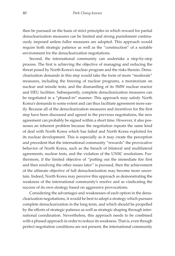then be pursued on the basis of strict principles in which reward for partial denuclearization measures can be limited and strong punishment continuously imposed unless fuller measures are adopted. This approach would require both strategic patience as well as the "construction" of a suitable environment for the denuclearization negotiations.

Second, the international community can undertake a step-by-step process. The first is achieving the objective of managing and reducing the threat posed by North Korea's nuclear program and the risks therein. Denuclearization demands in this step would take the form of more "moderate" measures, including the freezing of nuclear programs, a moratorium on nuclear and missile tests, and the dismantling of its 5MW nuclear reactor and HEU facilities. Subsequently, complete denuclearization measures can be negotiated in a "phased-in" manner. This approach may satisfy North Korea's demands to some extent and can thus facilitate agreement more easily. Because all of the denuclearization measures and incentives for the first step have been discussed and agreed in the previous negotiations, the new agreement can probably be signed within a short time. However, it also possesses an inherent problem because the negotiation repeats the same kind of deal with North Korea which has failed and North Korea exploited for its nuclear development. This is especially as it may create the perception and precedent that the international community "rewards" the provocative behavior of North Korea, such as the breach of bilateral and multilateral agreements, nuclear tests, and the violation of the UNSC resolutions. Furthermore, if the limited objective of "putting out the immediate fire first and then resolving the other issues later" is pursued, then the achievement of the ultimate objective of full denuclearization may become more uncertain. Indeed, North Korea may perceive this approach as demonstrating the weakness of the international community's resolve and as vindicating the success of its own strategy based on aggressive provocations.

Considering the advantages and weaknesses of each option in the denuclearization negotiations, it would be best to adopt a strategy which pursues complete denuclearization in the long term, and which should be propelled by the efforts of strategic patience as well as strategic shaping through international coordination. Nevertheless, this approach needs to be combined with a phased approach in order to reduce its weakness. That is, even though perfect negotiation conditions are not present, the international community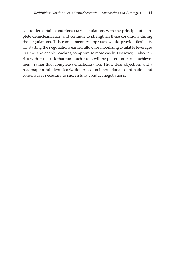can under certain conditions start negotiations with the principle of complete denuclearization and continue to strengthen these conditions during the negotiations. This complementary approach would provide flexibility for starting the negotiations earlier, allow for mobilizing available leverages in time, and enable reaching compromise more easily. However, it also carries with it the risk that too much focus will be placed on partial achievement, rather than complete denuclearization. Thus, clear objectives and a roadmap for full denuclearization based on international coordination and consensus is necessary to successfully conduct negotiations.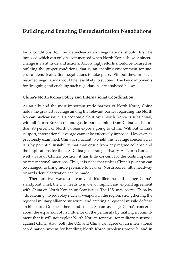# **Building and Enabling Denuclearization Negotiations**

Firm conditions for the denuclearization negotiations should first be imposed which can only be commenced when North Korea shows a sincere change in its attitude and actions. Accordingly, efforts should be focused on building the proper conditions, that is, an enabling environment for successful denuclearization negotiations to take place. Without these in place, resumed negotiations would be less likely to succeed. The key components for designing and enabling such negotiations are analyzed below.

#### **China's North Korea Policy and International Coordination**

As an ally and the most important trade partner of North Korea, China holds the greatest leverage among the relevant parties regarding the North Korean nuclear issue. Its economic clout over North Korea is substantial, with all North Korean oil and gas imports coming from China and more than 90 percent of North Korean exports going to China. Without China's support, international leverage cannot be effectively imposed. However, as previously examined, China is reluctant to wield this leverage concerned as it is by potential instability that may ensue from any regime collapse and the implications for the U.S.-China geo-strategic rivalry. As North Korea is well aware of China's position, it has little concern for the costs imposed by international sanctions. Thus, it is clear that unless China's position can be changed to bring more pressure to bear on North Korea, little headway towards denuclearization can be made.

There are two ways to circumvent this dilemma and change China's standpoint. First, the U.S. needs to make an implicit and explicit agreement with China on North Korean nuclear issues. The U.S. may coerce China by "threatening" to redeploy nuclear weapons in the region, strengthening the regional military alliance structure, and creating a regional missile defense architecture. On the other hand, the U.S. can assuage China's concerns about the expansion of its influence on the peninsula by making a commitment that it will not exploit North Korean territory for military purposes against China. Also, both the U.S. and China can agree on an international coordination system for handling North Korea problems properly and in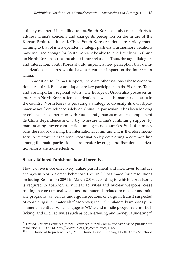a timely manner if instability occurs. South Korea can also make efforts to address China's concerns and change its perception on the future of the Korean Peninsula. Indeed, China-South Korea relations are rapidly transforming to that of interdependent strategic partners. Furthermore, relations have matured enough for South Korea to be able to talk directly with China on North Korean issues and about future relations. Thus, through dialogues and interaction, South Korea should imprint a new perception that denuclearization measures would have a favorable impact on the interests of China.

In addition to China's support, there are other nations whose cooperation is required. Russia and Japan are key participants in the Six Party Talks and are important regional actors. The European Union also possesses an interest in North Korea's denuclearization as well as humanitarian issues in the country. North Korea is pursuing a strategy to diversify its own diplomacy away from reliance solely on China. In particular, it has been looking to enhance its cooperation with Russia and Japan as means to complement its China dependence and to try to assure China's continuing support by manipulating power competition among those countries. Such diplomacy runs the risk of dividing the international community. It is therefore necessary to improve international coordination by developing a common line among the main parties to ensure greater leverage and that denuclearization efforts are more effective.

#### **Smart, Tailored Punishments and Incentives**

How can we more effectively utilize punishment and incentives to induce changes in North Korean behavior? The UNSC has made four resolutions including Resolution 2094 in March 2013, according to which North Korea is required to abandon all nuclear activities and nuclear weapons, cease trading in conventional weapons and materials related to nuclear and missile programs, as well as undergo inspections of cargo in transit suspected of containing illicit materials.47 Moreover, the U.S. unilaterally imposes punishment on entities which engage in WMD and missile programs, arms trafficking, and illicit activities such as counterfeiting and money laundering.<sup>48</sup>

 $47$ United Nations Security Council, Security Council Committee established pursuant to resolution 1718 (2006), http://www.un.org/sc/committees/1718/.

<sup>48</sup> U.S. House of Representatives, "U.S. House PassesSweeping North Korea Sanctions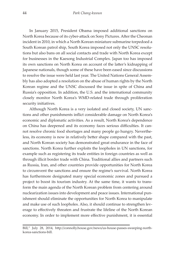In January 2015, President Obama imposed additional sanctions on North Korea because of its cyber-attack on Sony Pictures. After the Cheonan incident in 2010, in which a North Korean miniature submarine torpedoed a South Korean patrol ship, South Korea imposed not only the UNSC resolutions but also bans on all social contacts and trade with North Korea except for businesses in the Kaesong Industrial Complex. Japan too has imposed its own sanctions on North Korea on account of the latter's kidnapping of Japanese nationals, though some of these have been eased since discussions to resolve the issue were held last year. The United Nations General Assembly has also adopted a resolution on the abuse of human rights by the North Korean regime and the UNSC discussed the issue in spite of China and Russia's opposition. In addition, the U.S. and the international community closely monitor North Korea's WMD-related trade through proliferation security initiatives.

Although North Korea is a very isolated and closed society, UN sanctions and other punishments inflict considerable damage on North Korea's economic and diplomatic activities. As a result, North Korea's dependence on China has deepened and its economy faces serious difficulties. It cannot resolve chronic food shortages and many people go hungry. Nevertheless, its economy is now in relatively better shape compared with the past, and North Korean society has demonstrated great endurance in the face of sanctions. North Korea further exploits the loopholes in UN sanctions, for example such as registering its trade entities in foreign countries as well as through illicit border trade with China. Traditional allies and partners such as Russia, Iran, and other countries provide opportunities for North Korea to circumvent the sanctions and ensure the regime's survival. North Korea has furthermore designated many special economic zones and pursued a project to boost its tourism industry. At the same time, it wants to transform the main agenda of the North Korean problem from centering around nuclearization issues into development and peace issues. International punishment should eliminate the opportunities for North Korea to manipulate and make use of such loopholes. Also, it should continue to strengthen leverage to effectively threaten and frustrate the lifeline of the North Korean economy. In order to implement more effective punishment, it is essential

Bill," July 28, 2014, http://connolly.house.gov/news/us-house-passes-sweeping-northkorea-sanctions-bill.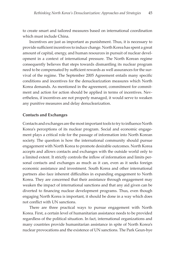to create smart and tailored measures based on international coordination which must include China.

Incentives are just as important as punishment. Thus, it is necessary to provide sufficient incentives to induce change. North Korea has spent a great amount of capital, energy, and human resources in pursuit of nuclear development in a context of international pressure. The North Korean regime consequently believes that steps towards dismantling its nuclear program need to be compensated by sufficient rewards as well assurances for the survival of the regime. The September 2005 Agreement entails many specific conditions and incentives for the denuclearization measures which North Korea demands. As mentioned in the agreement, commitment for commitment and action for action should be applied in terms of incentives. Nevertheless, if incentives are not properly managed, it would serve to weaken any punitive measures and delay denuclearization.

#### **Contacts and Exchanges**

Contacts and exchanges are the most important tools to try to influence North Korea's perceptions of its nuclear program. Social and economic engagement plays a critical role for the passage of information into North Korean society. The question is how the international community should pursue engagement with North Korea to promote desirable outcomes. North Korea accepts and allows contacts and exchanges with the outside world only to a limited extent. It strictly controls the inflow of information and limits personal contacts and exchanges as much as it can, even as it seeks foreign economic assistance and investment. South Korea and other international partners also face inherent difficulties in expanding engagement to North Korea. They are concerned that their assistance through engagement may weaken the impact of international sanctions and that any aid given can be diverted to financing nuclear development programs. Thus, even though engaging North Korea is important, it should be done in a way which does not conflict with UN sanctions.

There are three practical ways to pursue engagement with North Korea. First, a certain level of humanitarian assistance needs to be provided regardless of the political situation. In fact, international organizations and many countries provide humanitarian assistance in spite of North Korea's nuclear provocations and the existence of UN sanctions. The Park Geun-hye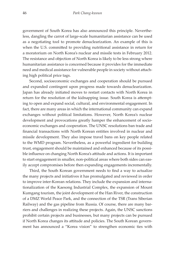government of South Korea has also announced this principle. Nevertheless, dangling the carrot of large-scale humanitarian assistance can be used as a negotiating tool to promote denuclearization. An example of this is when the U.S. committed to providing nutritional assistance in return for a moratorium on North Korea's nuclear and missile tests in February 2012. The resistance and objection of North Korea is likely to be less strong where humanitarian assistance is concerned because it provides for the immediate need and medical assistance for vulnerable people in society without attaching high political price tags.

Second, socioeconomic exchanges and cooperation should be pursued and expanded contingent upon progress made towards denuclearization. Japan has already initiated moves to restart contacts with North Korea in return for the resolution of the kidnapping issue. South Korea is attempting to open and expand social, cultural, and environmental engagement. In fact, there are many areas in which the international community can expand exchanges without political limitations. However, North Korea's nuclear development and provocations greatly hamper the enhancement of socioeconomic exchanges and cooperation. The UNSC resolutions ban trade and financial transactions with North Korean entities involved in nuclear and missile development. They also impose travel bans on key people related to the WMD program. Nevertheless, as a powerful ingredient for building trust, engagement should be maintained and enhanced because of its possible influence on changing North Korea's attitude and actions. It is important to start engagement in smaller, non-political areas where both sides can easily accept compromises before then expanding engagements incrementally.

Third, the South Korean government needs to find a way to actualize the many projects and initiatives it has promulgated and reviewed in order to improve inter-Korean relations. They include the expansion and internationalization of the Kaesong Industrial Complex, the expansion of Mount Kumgang tourism, the joint development of the Han River, the construction of a DMZ World Peace Park, and the connection of the TSR (Trans Siberian Railway) and the gas pipeline from Russia. Of course, there are many barriers and challenges in realizing these projects. Again, the UNSC sanctions prohibit certain projects and businesses, but many projects can be pursued if North Korea changes its attitude and policies. The South Korean government has announced a "Korea vision" to strengthen economic ties with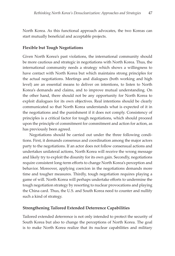North Korea. As this functional approach advocates, the two Koreas can start mutually beneficial and acceptable projects.

#### **Flexible but Tough Negotiations**

Given North Korea's past violations, the international community should be more cautious and strategic in negotiations with North Korea. Thus, the international community needs a strategy which shows a willingness to have contact with North Korea but which maintains strong principles for the actual negotiations. Meetings and dialogues (both working and high level) are an essential means to deliver on intentions, to listen to North Korea's demands and claims, and to improve mutual understanding. On the other hand, there should not be any opportunity for North Korea to exploit dialogues for its own objectives. Real intentions should be clearly communicated so that North Korea understands what is expected of it in the negotiations and the punishment if it does not comply. Consistency of principles is a critical factor for tough negotiations, which should proceed upon the principle of commitment for commitment and action for action, as has previously been agreed.

Negotiations should be carried out under the three following conditions. First, it demands consensus and coordination among the major actors party to the negotiations. If an actor does not follow consensual actions and undertakes unilateral actions, North Korea will receive the wrong message and likely try to exploit the disunity for its own gain. Secondly, negotiations require consistent long-term efforts to change North Korea's perception and behavior. Moreover, applying coercion in the negotiations demands more time and tougher measures. Thirdly, tough negotiation requires playing a game of will. North Korea will perhaps undertake efforts to undermine the tough negotiation strategy by resorting to nuclear provocations and playing the China card. Thus, the U.S. and South Korea need to counter and nullify such a kind of strategy.

#### **Strengthening Tailored Extended Deterrence Capabilities**

Tailored extended deterrence is not only intended to protect the security of South Korea but also to change the perceptions of North Korea. The goal is to make North Korea realize that its nuclear capabilities and military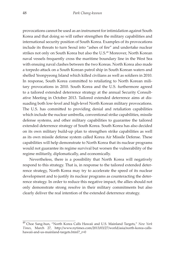provocations cannot be used as an instrument for intimidation against South Korea and that doing so will rather strengthen the military capabilities and international security position of South Korea. Examples of its provocations include its threats to turn Seoul into "ashes of fire" and undertake nuclear strikes not only on South Korea but also the U.S.<sup>49</sup> Moreover, North Korean naval vessels frequently cross the maritime boundary line in the West Sea with ensuing naval clashes between the two Koreas. North Korea also made a torpedo attack on a South Korean patrol ship in South Korean waters and shelled Yeonpyeong Island which killed civilians as well as soldiers in 2010. In response, South Korea committed to retaliating to North Korean military provocations in 2010. South Korea and the U.S. furthermore agreed to a tailored extended deterrence strategy at the annual Security Consultative Meeting in October 2013. Tailored extended deterrence aims at dissuading both low-level and high-level North Korean military provocations. The U.S. has committed to providing denial and retaliation capabilities which include the nuclear umbrella, conventional strike capabilities, missile defense systems, and other military capabilities to guarantee the tailored extended deterrence strategy of South Korea. South Korea has also decided on its own military build-up plan to strengthen strike capabilities as well as its own missile defense system called Korea Air Missile Defense. These capabilities will help demonstrate to North Korea that its nuclear programs would not guarantee its regime survival but worsen the vulnerability of the regime militarily, diplomatically, and economically.

Nevertheless, there is a possibility that North Korea will negatively respond to this strategy. That is, in response to the tailored extended deterrence strategy, North Korea may try to accelerate the speed of its nuclear development and to justify its nuclear programs as counteracting the deterrence strategy. In order to reduce this negative impact, the allies should not only demonstrate strong resolve in their military commitments but also clearly deliver the real intention of the extended deterrence strategy.

<sup>49</sup> Choe Sang-hun, "North Korea Calls Hawaii and U.S. Mainland Targets," *New York Times*, March 27, http://www.nytimes.com/2013/03/27/world/asia/north-korea-callshawaii-and-us-mainland-targets.html?\_r=0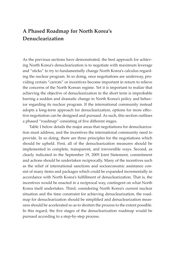# **A Phased Roadmap for North Korea's Denuclearization**

As the previous sections have demonstrated, the best approach for achieving North Korea's denuclearization is to negotiate with maximum leverage and "sticks" to try to fundamentally change North Korea's calculus regarding the nuclear program. In so doing, once negotiations are underway, providing certain "carrots" or incentives become important in return to relieve the concerns of the North Korean regime. Yet it is important to realize that achieving the objective of denuclearization in the short term is improbable barring a sudden and dramatic change in North Korea's policy and behavior regarding its nuclear program. If the international community instead adopts a long-term approach for denuclearization, options for more effective negotiation can be designed and pursued. As such, this section outlines a phased "roadmap" consisting of five different stages.

Table 1 below details the major areas that negotiations for denuclearization must address, and the incentives the international community need to provide. In so doing, there are three principles for the negotiations which should be upheld. First, all of the denuclearization measures should be implemented in complete, transparent, and irreversible ways. Second, as clearly indicated in the September 19, 2005 Joint Statement, commitment and actions should be undertaken reciprocally. Many of the incentives such as the relief of international sanctions and socioeconomic assistance consist of many items and packages which could be expanded incrementally in accordance with North Korea's fulfillment of denuclearization. That is, the incentives would be enacted in a reciprocal way, contingent on what North Korea itself undertakes. Third, considering North Korea's current nuclear situation and the time constraint for achieving denuclearization, the roadmap for denuclearization should be simplified and denuclearization measures should be accelerated so as to shorten the process to the extent possible. In this regard, the five stages of the denuclearization roadmap would be pursued according to a step-by-step process.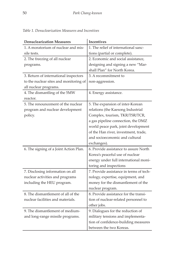| <b>Denuclearization Measures</b>       | <b>Incentives</b>                       |
|----------------------------------------|-----------------------------------------|
| 1. A moratorium of nuclear and mis-    | 1. The relief of international sanc-    |
| sile tests.                            | tions (partial or complete).            |
| 2. The freezing of all nuclear         | 2. Economic and social assistance,      |
| programs.                              | designing and signing a new "Mar-       |
|                                        | shall Plan" for North Korea.            |
| 3. Return of international inspectors  | 3. A recommitment to                    |
| to the nuclear sites and monitoring of | non-aggression.                         |
| all nuclear programs.                  |                                         |
| 4. The dismantling of the 5MW          | 4. Energy assistance.                   |
| reactor.                               |                                         |
| 5. The renouncement of the nuclear     | 5. The expansion of inter-Korean        |
| program and nuclear development        | relations (the Kaesong Industrial       |
| policy.                                | Complex, tourism, TKR/TSR/TCR,          |
|                                        | a gas pipeline connection, the DMZ      |
|                                        | world peace park, joint development     |
|                                        | of the Han river, investment, trade,    |
|                                        | and socioeconomic and cultural          |
|                                        | exchanges).                             |
| 6. The signing of a Joint Action Plan. | 6. Provide assistance to assure North   |
|                                        | Korea's peaceful use of nuclear         |
|                                        | energy under full international moni-   |
|                                        | toring and inspections                  |
| 7. Disclosing information on all       | 7. Provide assistance in terms of tech- |
| nuclear activities and programs        | nology, expertise, equipment, and       |
| including the HEU program.             | money for the dismantlement of the      |
|                                        | nuclear program.                        |
| 8. The dismantlement of all of the     | 8. Provide assistance for the transi-   |
| nuclear facilities and materials.      | tion of nuclear-related personnel to    |
|                                        | other jobs.                             |
| 9. The dismantlement of medium-        | 9. Dialogues for the reduction of       |
| and long-range missile programs.       | military tensions and implementa-       |
|                                        | tion of confidence-building measures    |
|                                        | between the two Koreas.                 |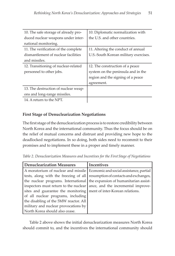| 10. The safe storage of already pro- | 10. Diplomatic normalization with     |
|--------------------------------------|---------------------------------------|
| duced nuclear weapons under inter-   | the U.S. and other countries.         |
| national monitoring.                 |                                       |
| 11. The verification of the complete | 11. Altering the conduct of annual    |
| dismantlement of nuclear facilities  | U.S.-South Korean military exercises. |
| and missiles.                        |                                       |
| 12. Transitioning of nuclear-related | 12. The construction of a peace       |
| personnel to other jobs.             | system on the peninsula and in the    |
|                                      | region and the signing of a peace     |
|                                      | agreement.                            |
| 13. The destruction of nuclear weap- |                                       |
| ons and long-range missiles.         |                                       |
| 14. A return to the NPT.             |                                       |

### **First Stage of Denuclearization Negotiations**

The first stage of the denuclearization process is to restore credibility between North Korea and the international community. Thus the focus should be on the relief of mutual concerns and distrust and providing new hope to the deadlocked negotiations. In so doing, both sides need to recommit to their promises and to implement these in a proper and timely manner.

*Table 2. Denuclearization Measures and Incentives for the First Stage of Negotiations*

| <b>Denuclearization Measures</b>                                            | <b>Incentives</b>                                                             |
|-----------------------------------------------------------------------------|-------------------------------------------------------------------------------|
|                                                                             | A moratorium of nuclear and missile   Economic and social assistance, partial |
| tests, along with the freezing of all resumption of contacts and exchanges, |                                                                               |
| the nuclear programs. International the expansion of humanitarian assist-   |                                                                               |
| inspectors must return to the nuclear                                       | ance, and the incremental improve-                                            |
| sites and guarantee the monitoring                                          | ment of inter-Korean relations.                                               |
| of all nuclear programs, including                                          |                                                                               |
| the disabling of the 5MW reactor. All                                       |                                                                               |
| military and nuclear provocations by                                        |                                                                               |
| North Korea should also cease.                                              |                                                                               |

Table 2 above shows the initial denuclearization measures North Korea should commit to, and the incentives the international community should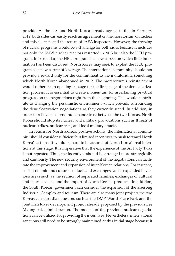provide. As the U.S. and North Korea already agreed to this in February 2012, both sides can easily reach an agreement on the moratorium of nuclear and missile tests and the return of IAEA inspectors. However, the freezing of nuclear programs would be a challenge for both sides because it includes not only the 5MW nuclear reactors restarted in 2013 but also the HEU program. In particular, the HEU program is a new aspect on which little information has been disclosed. North Korea may seek to exploit the HEU program as a new aspect of leverage. The international community should not provide a reward only for the commitment to the moratorium, something which North Korea abandoned in 2012. The moratorium's reinstatement would rather be an opening passage for the first stage of the denuclearization process. It is essential to create momentum for ascertaining practical progress on the negotiations right from the beginning. This would contribute to changing the pessimistic environment which prevails surrounding the denuclearization negotiations as they currently stand. In addition, in order to relieve tensions and enhance trust between the two Koreas, North Korea should stop its nuclear and military provocations such as threats of nuclear strikes, nuclear tests, and local military attacks.

In return for North Korea's positive actions, the international community should consider sufficient but limited incentives to push forward North Korea's actions. It would be hard to be assured of North Korea's real intentions at this stage. It is imperative that the experience of the Six Party Talks is not repeated. Thus, the incentives should be arranged more strategically and cautiously. The new security environment of the negotiations can facilitate the improvement and expansion of inter-Korean relations. For instance, socioeconomic and cultural contacts and exchanges can be expanded in various areas such as the reunion of separated families, exchanges of cultural and sports events, and the import of North Korean products. In addition, the South Korean government can consider the expansion of the Kaesong Industrial Complex and tourism. There are also many joint projects the two Koreas can start dialogues on, such as the DMZ World Peace Park and the joint Han River development project already proposed by the previous Lee Myung-bak administration. The models of the previous nuclear negotiations can be utilized for providing the incentives. Nevertheless, international sanctions still need to be strongly maintained at this initial stage because it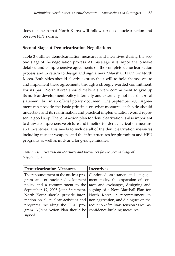does not mean that North Korea will follow up on denuclearization and observe NPT norms.

#### **Second Stage of Denuclearization Negotiations**

Table 3 outlines denuclearization measures and incentives during the second stage of the negotiation process. At this stage, it is important to make detailed and comprehensive agreements on the complete denuclearization process and in return to design and sign a new "Marshall Plan" for North Korea. Both sides should clearly express their will to hold themselves to and implement these agreements through a strongly worded commitment. For its part, North Korea should make a sincere commitment to give up its nuclear development policy internally and externally, not in a rhetorical statement, but in an official policy document. The September 2005 Agreement can provide the basic principle on what measures each side should undertake and its reaffirmation and practical implementation would represent a good step. The joint action plan for denuclearization is also important to draw a comprehensive picture and timeline for denuclearization measure and incentives. This needs to include all of the denuclearization measures including nuclear weapons and the infrastructures for plutonium and HEU programs as well as mid- and long-range missiles.

|              | Table 3. Denuclearization Measures and Incentives for the Second Stage of |  |  |  |  |
|--------------|---------------------------------------------------------------------------|--|--|--|--|
| Negotiations |                                                                           |  |  |  |  |

| <b>Denuclearization Measures</b>                                              | <b>Incentives</b> |
|-------------------------------------------------------------------------------|-------------------|
| The renouncement of the nuclear pro- Continued assistance and engage-         |                   |
| gram and of nuclear development ment policy, the expansion of con-            |                   |
| policy and a recommitment to the tacts and exchanges, designing and           |                   |
| September 19, 2005 Joint Statement. signing of a New Marshall Plan for        |                   |
| North Korea should provide infor- North Korea, a recommitment to              |                   |
| mation on all nuclear activities and $ $ non-aggression, and dialogues on the |                   |
| programs including the HEU pro- reduction of military tension as well as      |                   |
| gram. A Joint Action Plan should be   confidence-building measures.           |                   |
| signed.                                                                       |                   |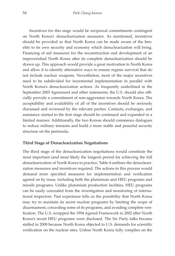Incentives for this stage would be reciprocal commitments contingent on North Korea's denuclearization measures. As mentioned, incentives should be provided so that North Korea can be made aware of the benefits to its own security and economy which denuclearization will bring. Financing of aid measures for the reconstruction and development of an impoverished North Korea after its complete denuclearization should be drawn up. This approach would provide a great motivation to North Korea and allow it to identify alternative ways to ensure regime survival that do not include nuclear weapons. Nevertheless, most of the major incentives need to be subdivided for incremental implementation in parallel with North Korea's denuclearization actions. As frequently underlined in the September 2005 Agreement and other statements, the U.S. should also officially provide a commitment of non-aggression towards North Korea. The acceptability and availability of all of the incentives should be seriously discussed and reviewed by the relevant parties. Contacts, exchanges, and assistance started in the first stage should be continued and expanded in a limited manner. Additionally, the two Koreas should commence dialogues to reduce military tensions and build a more stable and peaceful security structure on the peninsula.

#### **Third Stage of Denuclearization Negotiations**

The third stage of the denuclearization negotiations would constitute the most important (and most likely the longest) period for achieving the full denuclearization of North Korea in practice. Table 4 outlines the denuclearization measures and incentives required. The actions in this process would demand more specified measures for implementation and verification agreed on by issue, including both the plutonium and HEU programs and missile programs. Unlike plutonium production facilities, HEU programs can be easily concealed from the investigation and monitoring of international inspectors. Past experience tells us the possibility that North Korea may try to maintain its secret nuclear programs by limiting the scope of disarmament, concealing some of its programs, and avoiding complete verification. The U.S. scrapped the 1994 Agreed Framework in 2002 after North Korea's secret HEU programs were disclosed. The Six Party talks became stalled in 2008 because North Korea objected to U.S. demands for scientific verification on the nuclear sites. Unless North Korea fully complies on the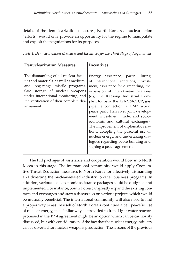details of the denuclearization measures, North Korea's denuclearization "efforts" would only provide an opportunity for the regime to manipulate and exploit the negotiations for its purposes.

*Table 4. Denuclearization Measures and Incentives for the Third Stage of Negotiations*

| <b>Denuclearization Measures</b>                                                                                                                                                                                                                       | Incentives                                                                                                                                                                                                                                                                                                                                                                                                                                                                                                                                                                                   |
|--------------------------------------------------------------------------------------------------------------------------------------------------------------------------------------------------------------------------------------------------------|----------------------------------------------------------------------------------------------------------------------------------------------------------------------------------------------------------------------------------------------------------------------------------------------------------------------------------------------------------------------------------------------------------------------------------------------------------------------------------------------------------------------------------------------------------------------------------------------|
| The dismantling of all nuclear facili-<br>ties and materials, as well as medium-<br>and long-range missile programs.<br>Safe storage of nuclear weapons<br>under international monitoring, and<br>the verification of their complete dis-<br>armament. | Energy assistance, partial<br>lifting<br>of international sanctions, invest-<br>ment, assistance for dismantling, the<br>expansion of inter-Korean relations<br>(e.g. the Kaesong Industrial Com-<br>plex, tourism, the TKR/TSR/TCR, gas<br>pipeline connection, a DMZ world<br>peace park, Han river joint develop-<br>ment, investment, trade, and socio-<br>economic and cultural exchanges).<br>The improvement of diplomatic rela-<br>tions, accepting the peaceful use of<br>nuclear energy, and undertaking dia-<br>logues regarding peace building and<br>signing a peace agreement. |

The full packages of assistance and cooperation would flow into North Korea in this stage. The international community would apply Cooperative Threat Reduction measures to North Korea for effectively dismantling and diverting the nuclear-related industry to other business programs. In addition, various socioeconomic assistance packages could be designed and implemented. For instance, South Korea can greatly expand the existing contacts and exchanges and start a discussion on various projects which would be mutually beneficial. The international community will also need to find a proper way to assure itself of North Korea's continued albeit peaceful use of nuclear energy, in a similar way as provided to Iran. Light water reactors promised in the 1994 agreement might be an option which can be cautiously discussed, but with consideration of the fact that the nuclear energy industry can be diverted for nuclear weapons production. The lessons of the previous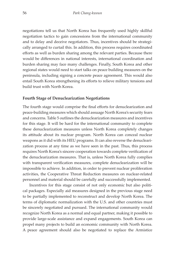negotiations tell us that North Korea has frequently used highly skillful negotiation tactics to gain concessions from the international community and to delay and deceive negotiators. Thus, incentives should be strategically arranged to curtail this. In addition, this process requires coordinated efforts as well as burden sharing among the relevant parties. Because there would be differences in national interests, international coordination and burden sharing may face many challenges. Finally, South Korea and other regional states would need to start talks on peace building measures on the peninsula, including signing a concrete peace agreement. This would also entail South Korea strengthening its efforts to relieve military tensions and build trust with North Korea.

#### **Fourth Stage of Denuclearization Negotiations**

The fourth stage would comprise the final efforts for denuclearization and peace-building measures which should assuage North Korea's security fears and concerns. Table 5 outlines the denuclearization measures and incentives for this stage. It will be hard for the international community to complete these denuclearization measures unless North Korea completely changes its attitude about its nuclear program. North Korea can conceal nuclear weapons as it did with its HEU programs. It can also reverse the denuclearization process at any time as we have seen in the past. Thus, this process requires North Korea's sincere cooperation towards complete verification of the denuclearization measures. That is, unless North Korea fully complies with transparent verification measures, complete denuclearization will be impossible to achieve. In addition, in order to prevent nuclear proliferation activities, the Cooperative Threat Reduction measures on nuclear-related personnel and material should be carefully and successfully implemented.

Incentives for this stage consist of not only economic but also political packages. Especially aid measures designed in the previous stage need to be partially implemented to reconstruct and develop North Korea. The terms of diplomatic normalization with the U.S. and other countries must be sincerely negotiated and pursued. The international community would recognize North Korea as a normal and equal partner, making it possible to provide large-scale assistance and expand engagements. South Korea can propel many projects to build an economic community with North Korea. A peace agreement should also be negotiated to replace the Armistice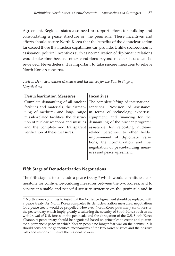Agreement. Regional states also need to support efforts for building and consolidating a peace structure on the peninsula. These incentives and efforts should assure North Korea that the benefits of the denuclearization far exceed those that nuclear capabilities can provide. Unlike socioeconomic assistance, political incentives such as normalization of diplomatic relations would take time because other conditions beyond nuclear issues can be reviewed. Nevertheless, it is important to take sincere measures to relieve North Korea's concerns.

*Table 5. Denuclearization Measures and Incentives for the Fourth Stage of Negotiations*

| <b>Denuclearization Measures</b>         | <b>Incentives</b>                                                         |
|------------------------------------------|---------------------------------------------------------------------------|
|                                          | Complete dismantling of all nuclear The complete lifting of international |
|                                          | facilities and materials, the disman- sanctions. Provision of assistance  |
|                                          | tling of medium- and long- range in terms of technology, expertise,       |
| missile-related facilities, the destruc- | equipment, and financing for the                                          |
| tion of nuclear weapons and missiles     | dismantling of the nuclear program;                                       |
| and the complete and transparent         | assistance for relocating nuclear-                                        |
| verification of these measures.          | related personnel to other fields;                                        |
|                                          | improvement of diplomatic rela-                                           |
|                                          | tions; the normalization and the                                          |
|                                          | negotiation of peace-building meas-                                       |
|                                          | ures and peace agreement.                                                 |
|                                          |                                                                           |

#### **Fifth Stage of Denuclearization Negotiations**

The fifth stage is to conclude a peace treaty, $50$  which would constitute a cornerstone for confidence-building measures between the two Koreas, and to construct a stable and peaceful security structure on the peninsula and in

 $50$  North Korea continues to insist that the Armistice Agreement should be replaced with a peace treaty. As North Korea completes its denuclearization measures, negotiations for a peace treaty would be propelled. However, North Korea puts many conditions on the peace treaty which imply greatly weakening the security of South Korea such as the withdrawal of U.S. forces on the peninsula and the abrogation of the U.S.-South Korea alliance. A peace treaty should be negotiated based on principles to create and guarantee a permanent peace in which Korean people no longer fear war on the peninsula. It should consider the geopolitical mechanisms of the two Korea's issues and the positive roles and responsibilities of the regional powers.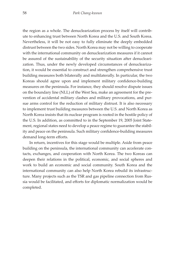the region as a whole. The denuclearization process by itself will contribute to enhancing trust between North Korea and the U.S. and South Korea. Nevertheless, it will be not easy to fully eliminate the deeply embedded distrust between the two sides. North Korea may not be willing to cooperate with the international community on denuclearization measures if it cannot be assured of the sustainability of the security situation after denuclearization. Thus, under the newly developed circumstances of denuclearization, it would be essential to construct and strengthen comprehensive trust building measures both bilaterally and multilaterally. In particular, the two Koreas should agree upon and implement military confidence-building measures on the peninsula. For instance, they should resolve dispute issues on the boundary line (NLL) of the West Sea, make an agreement for the prevention of accidental military clashes and military provocations, and pursue arms control for the reduction of military distrust. It is also necessary to implement trust building measures between the U.S. and North Korea as North Korea insists that its nuclear program is rooted in the hostile policy of the U.S. In addition, as committed to in the September 19, 2005 Joint Statement, regional states need to develop a peace regime to guarantee the stability and peace on the peninsula. Such military confidence-building measures demand long-term efforts.

In return, incentives for this stage would be multiple. Aside from peace building on the peninsula, the international community can accelerate contacts, exchanges, and cooperation with North Korea. The two Koreas can deepen their relations in the political, economic, and social spheres and work to build an economic and social community. South Korea and the international community can also help North Korea rebuild its infrastructure. Many projects such as the TSR and gas pipeline connection from Russia would be facilitated, and efforts for diplomatic normalization would be completed.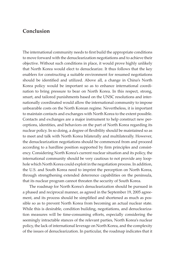## **Conclusion**

The international community needs to first build the appropriate conditions to move forward with the denuclearization negotiations and to achieve their objective. Without such conditions in place, it would prove highly unlikely that North Korea would elect to denuclearize. It thus follows that the key enablers for constructing a suitable environment for resumed negotiations should be identified and utilized. Above all, a change in China's North Korea policy would be important so as to enhance international coordination to bring pressure to bear on North Korea. In this respect, strong, smart, and tailored punishments based on the UNSC resolutions and internationally coordinated would allow the international community to impose unbearable costs on the North Korean regime. Nevertheless, it is important to maintain contacts and exchanges with North Korea to the extent possible. Contacts and exchanges are a major instrument to help construct new perceptions, identities, and behaviors on the part of North Korea regarding its nuclear policy. In so doing, a degree of flexibility should be maintained so as to meet and talk with North Korea bilaterally and multilaterally. However, the denuclearization negotiations should be commenced from and proceed according to a hardline position supported by firm principles and consistency. Considering North Korea's current nuclear situation and its policy, the international community should be very cautious to not provide any loophole which North Korea could exploit in the negotiation process. In addition, the U.S. and South Korea need to imprint the perception on North Korea, through strengthening extended deterrence capabilities on the peninsula, that its nuclear program cannot threaten the security of South Korea.

The roadmap for North Korea's denuclearization should be pursued in a phased and reciprocal manner, as agreed in the September 19, 2005 agreement, and its process should be simplified and shortened as much as possible so as to prevent North Korea from becoming an actual nuclear state. While this is desirable, condition building, negotiations, and denuclearization measures will be time-consuming efforts, especially considering the seemingly intractable stances of the relevant parties, North Korea's nuclear policy, the lack of international leverage on North Korea, and the complexity of the issues of denuclearization. In particular, the roadmap indicates that it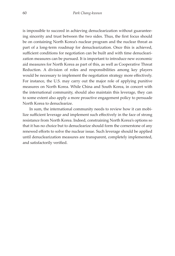is impossible to succeed in achieving denuclearization without guaranteeing sincerity and trust between the two sides. Thus, the first focus should be on containing North Korea's nuclear program and the nuclear threat as part of a long-term roadmap for denuclearization. Once this is achieved, sufficient conditions for negotiation can be built and with time denuclearization measures can be pursued. It is important to introduce new economic aid measures for North Korea as part of this, as well as Cooperative Threat Reduction. A division of roles and responsibilities among key players would be necessary to implement the negotiation strategy more effectively. For instance, the U.S. may carry out the major role of applying punitive measures on North Korea. While China and South Korea, in concert with the international community, should also maintain this leverage, they can to some extent also apply a more proactive engagement policy to persuade North Korea to denuclearize.

In sum, the international community needs to review how it can mobilize sufficient leverage and implement such effectively in the face of strong resistance from North Korea. Indeed, constraining North Korea's options so that it has no choice but to denuclearize should form the cornerstone of any renewed efforts to solve the nuclear issue. Such leverage should be applied until denuclearization measures are transparent, completely implemented, and satisfactorily verified.